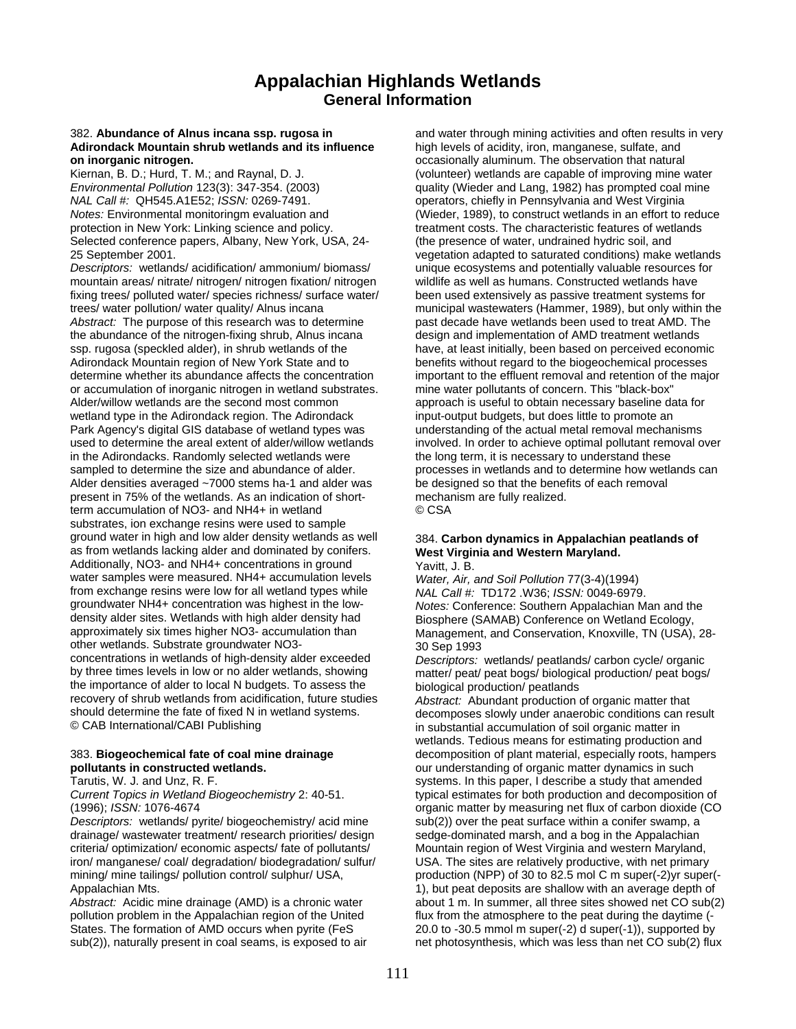# **Appalachian Highlands Wetlands General Information**

#### 382. **Abundance of Alnus incana ssp. rugosa in Adirondack Mountain shrub wetlands and its influence on inorganic nitrogen.**

Kiernan, B. D.; Hurd, T. M.; and Raynal, D. J. *Environmental Pollution* 123(3): 347-354. (2003) *NAL Call #:* QH545.A1E52; *ISSN:* 0269-7491. *Notes:* Environmental monitoringm evaluation and protection in New York: Linking science and policy. Selected conference papers, Albany, New York, USA, 24- 25 September 2001.

*Descriptors:* wetlands/ acidification/ ammonium/ biomass/ mountain areas/ nitrate/ nitrogen/ nitrogen fixation/ nitrogen fixing trees/ polluted water/ species richness/ surface water/ trees/ water pollution/ water quality/ Alnus incana *Abstract:* The purpose of this research was to determine the abundance of the nitrogen-fixing shrub, Alnus incana ssp. rugosa (speckled alder), in shrub wetlands of the Adirondack Mountain region of New York State and to determine whether its abundance affects the concentration or accumulation of inorganic nitrogen in wetland substrates. Alder/willow wetlands are the second most common wetland type in the Adirondack region. The Adirondack Park Agency's digital GIS database of wetland types was used to determine the areal extent of alder/willow wetlands in the Adirondacks. Randomly selected wetlands were sampled to determine the size and abundance of alder. Alder densities averaged ~7000 stems ha-1 and alder was present in 75% of the wetlands. As an indication of shortterm accumulation of NO3- and NH4+ in wetland substrates, ion exchange resins were used to sample ground water in high and low alder density wetlands as well as from wetlands lacking alder and dominated by conifers. Additionally, NO3- and NH4+ concentrations in ground water samples were measured. NH4+ accumulation levels from exchange resins were low for all wetland types while groundwater NH4+ concentration was highest in the lowdensity alder sites. Wetlands with high alder density had approximately six times higher NO3- accumulation than other wetlands. Substrate groundwater NO3 concentrations in wetlands of high-density alder exceeded by three times levels in low or no alder wetlands, showing the importance of alder to local N budgets. To assess the recovery of shrub wetlands from acidification, future studies should determine the fate of fixed N in wetland systems. © CAB International/CABI Publishing

# 383. **Biogeochemical fate of coal mine drainage pollutants in constructed wetlands.**

Tarutis, W. J. and Unz, R. F.

*Current Topics in Wetland Biogeochemistry* 2: 40-51. (1996); *ISSN:* 1076-4674

*Descriptors:* wetlands/ pyrite/ biogeochemistry/ acid mine drainage/ wastewater treatment/ research priorities/ design criteria/ optimization/ economic aspects/ fate of pollutants/ iron/ manganese/ coal/ degradation/ biodegradation/ sulfur/ mining/ mine tailings/ pollution control/ sulphur/ USA, Appalachian Mts.

*Abstract:* Acidic mine drainage (AMD) is a chronic water pollution problem in the Appalachian region of the United States. The formation of AMD occurs when pyrite (FeS sub(2)), naturally present in coal seams, is exposed to air

and water through mining activities and often results in very high levels of acidity, iron, manganese, sulfate, and occasionally aluminum. The observation that natural (volunteer) wetlands are capable of improving mine water quality (Wieder and Lang, 1982) has prompted coal mine operators, chiefly in Pennsylvania and West Virginia (Wieder, 1989), to construct wetlands in an effort to reduce treatment costs. The characteristic features of wetlands (the presence of water, undrained hydric soil, and vegetation adapted to saturated conditions) make wetlands unique ecosystems and potentially valuable resources for wildlife as well as humans. Constructed wetlands have been used extensively as passive treatment systems for municipal wastewaters (Hammer, 1989), but only within the past decade have wetlands been used to treat AMD. The design and implementation of AMD treatment wetlands have, at least initially, been based on perceived economic benefits without regard to the biogeochemical processes important to the effluent removal and retention of the major mine water pollutants of concern. This "black-box" approach is useful to obtain necessary baseline data for input-output budgets, but does little to promote an understanding of the actual metal removal mechanisms involved. In order to achieve optimal pollutant removal over the long term, it is necessary to understand these processes in wetlands and to determine how wetlands can be designed so that the benefits of each removal mechanism are fully realized. © CSA

#### 384. **Carbon dynamics in Appalachian peatlands of West Virginia and Western Maryland.**  Yavitt, J. B.

*Water, Air, and Soil Pollution* 77(3-4)(1994) *NAL Call #:* TD172 .W36; *ISSN:* 0049-6979. *Notes:* Conference: Southern Appalachian Man and the Biosphere (SAMAB) Conference on Wetland Ecology, Management, and Conservation, Knoxville, TN (USA), 28- 30 Sep 1993

*Descriptors:* wetlands/ peatlands/ carbon cycle/ organic matter/ peat/ peat bogs/ biological production/ peat bogs/ biological production/ peatlands

*Abstract:* Abundant production of organic matter that decomposes slowly under anaerobic conditions can result in substantial accumulation of soil organic matter in wetlands. Tedious means for estimating production and decomposition of plant material, especially roots, hampers our understanding of organic matter dynamics in such systems. In this paper, I describe a study that amended typical estimates for both production and decomposition of organic matter by measuring net flux of carbon dioxide (CO sub(2)) over the peat surface within a conifer swamp, a sedge-dominated marsh, and a bog in the Appalachian Mountain region of West Virginia and western Maryland, USA. The sites are relatively productive, with net primary production (NPP) of 30 to 82.5 mol C m super(-2)yr super(- 1), but peat deposits are shallow with an average depth of about 1 m. In summer, all three sites showed net CO sub(2) flux from the atmosphere to the peat during the daytime (- 20.0 to -30.5 mmol m super(-2) d super(-1)), supported by net photosynthesis, which was less than net CO sub(2) flux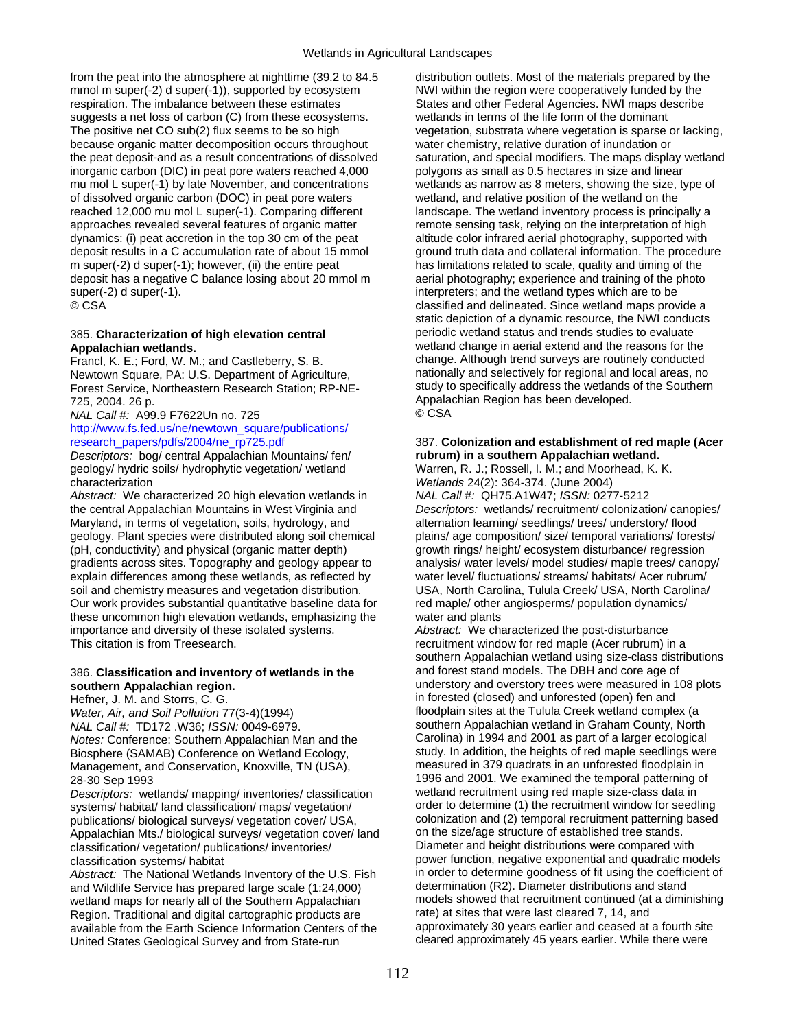from the peat into the atmosphere at nighttime (39.2 to 84.5 mmol m super(-2) d super(-1)), supported by ecosystem respiration. The imbalance between these estimates suggests a net loss of carbon (C) from these ecosystems. The positive net CO sub(2) flux seems to be so high because organic matter decomposition occurs throughout the peat deposit-and as a result concentrations of dissolved inorganic carbon (DIC) in peat pore waters reached 4,000 mu mol L super(-1) by late November, and concentrations of dissolved organic carbon (DOC) in peat pore waters reached 12,000 mu mol L super(-1). Comparing different approaches revealed several features of organic matter dynamics: (i) peat accretion in the top 30 cm of the peat deposit results in a C accumulation rate of about 15 mmol m super(-2) d super(-1); however, (ii) the entire peat deposit has a negative C balance losing about 20 mmol m super(-2) d super(-1). © CSA

# 385. **Characterization of high elevation central Appalachian wetlands.**

Francl, K. E.; Ford, W. M.; and Castleberry, S. B. Newtown Square, PA: U.S. Department of Agriculture, Forest Service, Northeastern Research Station; RP-NE-725, 2004. 26 p.

*NAL Call #:* A99.9 F7622Un no. 725 [http://www.fs.fed.us/ne/newtown\\_square/publications/](http://www.fs.fed.us/ne/newtown_square/publications/research_papers/pdfs/2004/ne_rp725.pdf)  research\_papers/pdfs/2004/ne\_rp725.pdf

*Descriptors:* bog/ central Appalachian Mountains/ fen/ geology/ hydric soils/ hydrophytic vegetation/ wetland characterization

*Abstract:* We characterized 20 high elevation wetlands in the central Appalachian Mountains in West Virginia and Maryland, in terms of vegetation, soils, hydrology, and geology. Plant species were distributed along soil chemical (pH, conductivity) and physical (organic matter depth) gradients across sites. Topography and geology appear to explain differences among these wetlands, as reflected by soil and chemistry measures and vegetation distribution. Our work provides substantial quantitative baseline data for these uncommon high elevation wetlands, emphasizing the importance and diversity of these isolated systems. This citation is from Treesearch.

# 386. **Classification and inventory of wetlands in the southern Appalachian region.**

Hefner, J. M. and Storrs, C. G.

*Water, Air, and Soil Pollution* 77(3-4)(1994) *NAL Call #:* TD172 .W36; *ISSN:* 0049-6979. *Notes:* Conference: Southern Appalachian Man and the Biosphere (SAMAB) Conference on Wetland Ecology, Management, and Conservation, Knoxville, TN (USA), 28-30 Sep 1993

*Descriptors:* wetlands/ mapping/ inventories/ classification systems/ habitat/ land classification/ maps/ vegetation/ publications/ biological surveys/ vegetation cover/ USA, Appalachian Mts./ biological surveys/ vegetation cover/ land classification/ vegetation/ publications/ inventories/ classification systems/ habitat

*Abstract:* The National Wetlands Inventory of the U.S. Fish and Wildlife Service has prepared large scale (1:24,000) wetland maps for nearly all of the Southern Appalachian Region. Traditional and digital cartographic products are available from the Earth Science Information Centers of the United States Geological Survey and from State-run

distribution outlets. Most of the materials prepared by the NWI within the region were cooperatively funded by the States and other Federal Agencies. NWI maps describe wetlands in terms of the life form of the dominant vegetation, substrata where vegetation is sparse or lacking, water chemistry, relative duration of inundation or saturation, and special modifiers. The maps display wetland polygons as small as 0.5 hectares in size and linear wetlands as narrow as 8 meters, showing the size, type of wetland, and relative position of the wetland on the landscape. The wetland inventory process is principally a remote sensing task, relying on the interpretation of high altitude color infrared aerial photography, supported with ground truth data and collateral information. The procedure has limitations related to scale, quality and timing of the aerial photography; experience and training of the photo interpreters; and the wetland types which are to be classified and delineated. Since wetland maps provide a static depiction of a dynamic resource, the NWI conducts periodic wetland status and trends studies to evaluate wetland change in aerial extend and the reasons for the change. Although trend surveys are routinely conducted nationally and selectively for regional and local areas, no study to specifically address the wetlands of the Southern Appalachian Region has been developed. © CSA

# 387. **Colonization and establishment of red maple (Acer rubrum) in a southern Appalachian wetland.**

Warren, R. J.; Rossell, I. M.; and Moorhead, K. K. *Wetlands* 24(2): 364-374. (June 2004) *NAL Call #:* QH75.A1W47; *ISSN:* 0277-5212 *Descriptors:* wetlands/ recruitment/ colonization/ canopies/ alternation learning/ seedlings/ trees/ understory/ flood plains/ age composition/ size/ temporal variations/ forests/ growth rings/ height/ ecosystem disturbance/ regression analysis/ water levels/ model studies/ maple trees/ canopy/ water level/ fluctuations/ streams/ habitats/ Acer rubrum/ USA, North Carolina, Tulula Creek/ USA, North Carolina/ red maple/ other angiosperms/ population dynamics/ water and plants

*Abstract:* We characterized the post-disturbance recruitment window for red maple (Acer rubrum) in a southern Appalachian wetland using size-class distributions and forest stand models. The DBH and core age of understory and overstory trees were measured in 108 plots in forested (closed) and unforested (open) fen and floodplain sites at the Tulula Creek wetland complex (a southern Appalachian wetland in Graham County, North Carolina) in 1994 and 2001 as part of a larger ecological study. In addition, the heights of red maple seedlings were measured in 379 quadrats in an unforested floodplain in 1996 and 2001. We examined the temporal patterning of wetland recruitment using red maple size-class data in order to determine (1) the recruitment window for seedling colonization and (2) temporal recruitment patterning based on the size/age structure of established tree stands. Diameter and height distributions were compared with power function, negative exponential and quadratic models in order to determine goodness of fit using the coefficient of determination (R2). Diameter distributions and stand models showed that recruitment continued (at a diminishing rate) at sites that were last cleared 7, 14, and approximately 30 years earlier and ceased at a fourth site cleared approximately 45 years earlier. While there were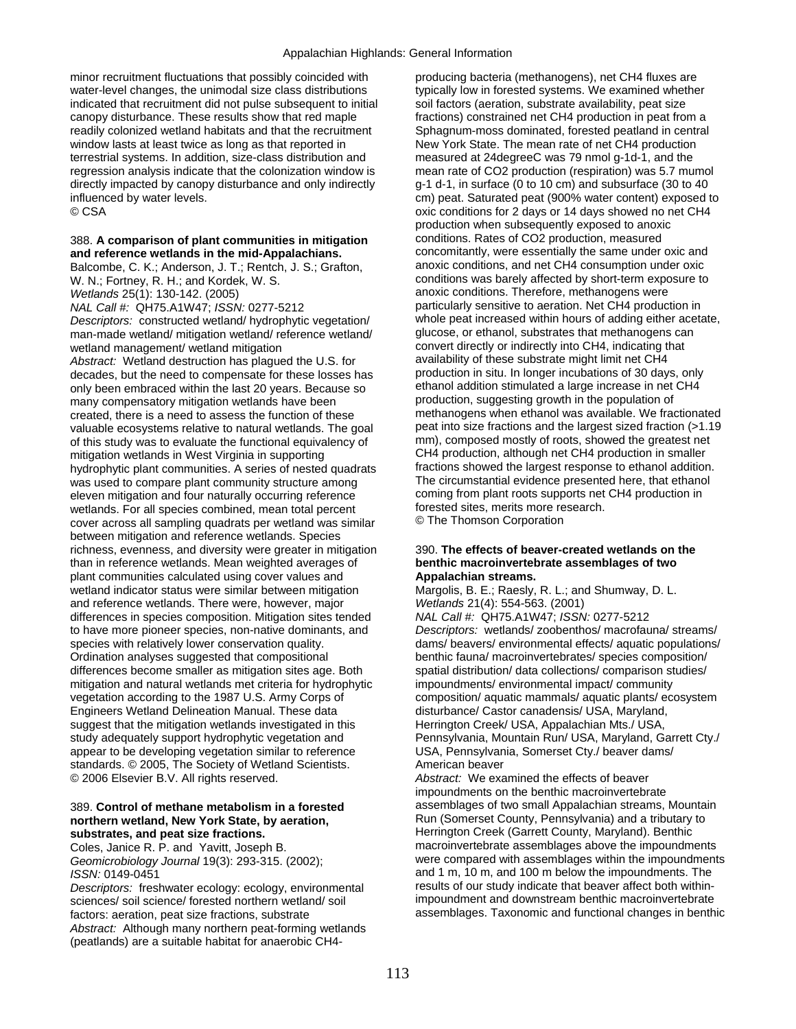minor recruitment fluctuations that possibly coincided with water-level changes, the unimodal size class distributions indicated that recruitment did not pulse subsequent to initial canopy disturbance. These results show that red maple readily colonized wetland habitats and that the recruitment window lasts at least twice as long as that reported in terrestrial systems. In addition, size-class distribution and regression analysis indicate that the colonization window is directly impacted by canopy disturbance and only indirectly influenced by water levels. © CSA

#### 388. **A comparison of plant communities in mitigation and reference wetlands in the mid-Appalachians.**

Balcombe, C. K.; Anderson, J. T.; Rentch, J. S.; Grafton, W. N.; Fortney, R. H.; and Kordek, W. S. *Wetlands* 25(1): 130-142. (2005)

*NAL Call #:* QH75.A1W47; *ISSN:* 0277-5212 *Descriptors:* constructed wetland/ hydrophytic vegetation/ man-made wetland/ mitigation wetland/ reference wetland/ wetland management/ wetland mitigation *Abstract:* Wetland destruction has plagued the U.S. for decades, but the need to compensate for these losses has only been embraced within the last 20 years. Because so many compensatory mitigation wetlands have been created, there is a need to assess the function of these valuable ecosystems relative to natural wetlands. The goal of this study was to evaluate the functional equivalency of mitigation wetlands in West Virginia in supporting hydrophytic plant communities. A series of nested quadrats was used to compare plant community structure among eleven mitigation and four naturally occurring reference wetlands. For all species combined, mean total percent cover across all sampling quadrats per wetland was similar between mitigation and reference wetlands. Species richness, evenness, and diversity were greater in mitigation than in reference wetlands. Mean weighted averages of plant communities calculated using cover values and wetland indicator status were similar between mitigation and reference wetlands. There were, however, major differences in species composition. Mitigation sites tended to have more pioneer species, non-native dominants, and species with relatively lower conservation quality. Ordination analyses suggested that compositional differences become smaller as mitigation sites age. Both mitigation and natural wetlands met criteria for hydrophytic vegetation according to the 1987 U.S. Army Corps of Engineers Wetland Delineation Manual. These data suggest that the mitigation wetlands investigated in this study adequately support hydrophytic vegetation and appear to be developing vegetation similar to reference standards. © 2005, The Society of Wetland Scientists. © 2006 Elsevier B.V. All rights reserved.

#### 389. **Control of methane metabolism in a forested northern wetland, New York State, by aeration, substrates, and peat size fractions.**

Coles, Janice R. P. and Yavitt, Joseph B. *Geomicrobiology Journal* 19(3): 293-315. (2002); *ISSN:* 0149-0451

*Descriptors:* freshwater ecology: ecology, environmental sciences/ soil science/ forested northern wetland/ soil factors: aeration, peat size fractions, substrate *Abstract:* Although many northern peat-forming wetlands (peatlands) are a suitable habitat for anaerobic CH4-

producing bacteria (methanogens), net CH4 fluxes are typically low in forested systems. We examined whether soil factors (aeration, substrate availability, peat size fractions) constrained net CH4 production in peat from a Sphagnum-moss dominated, forested peatland in central New York State. The mean rate of net CH4 production measured at 24degreeC was 79 nmol g-1d-1, and the mean rate of CO2 production (respiration) was 5.7 mumol g-1 d-1, in surface (0 to 10 cm) and subsurface (30 to 40 cm) peat. Saturated peat (900% water content) exposed to oxic conditions for 2 days or 14 days showed no net CH4 production when subsequently exposed to anoxic conditions. Rates of CO2 production, measured concomitantly, were essentially the same under oxic and anoxic conditions, and net CH4 consumption under oxic conditions was barely affected by short-term exposure to anoxic conditions. Therefore, methanogens were particularly sensitive to aeration. Net CH4 production in whole peat increased within hours of adding either acetate, glucose, or ethanol, substrates that methanogens can convert directly or indirectly into CH4, indicating that availability of these substrate might limit net CH4 production in situ. In longer incubations of 30 days, only ethanol addition stimulated a large increase in net CH4 production, suggesting growth in the population of methanogens when ethanol was available. We fractionated peat into size fractions and the largest sized fraction (>1.19 mm), composed mostly of roots, showed the greatest net CH4 production, although net CH4 production in smaller fractions showed the largest response to ethanol addition. The circumstantial evidence presented here, that ethanol coming from plant roots supports net CH4 production in forested sites, merits more research.

© The Thomson Corporation

#### 390. **The effects of beaver-created wetlands on the benthic macroinvertebrate assemblages of two Appalachian streams.**

Margolis, B. E.; Raesly, R. L.; and Shumway, D. L. *Wetlands* 21(4): 554-563. (2001) *NAL Call #:* QH75.A1W47; *ISSN:* 0277-5212 *Descriptors:* wetlands/ zoobenthos/ macrofauna/ streams/ dams/ beavers/ environmental effects/ aquatic populations/ benthic fauna/ macroinvertebrates/ species composition/ spatial distribution/ data collections/ comparison studies/ impoundments/ environmental impact/ community composition/ aquatic mammals/ aquatic plants/ ecosystem disturbance/ Castor canadensis/ USA, Maryland, Herrington Creek/ USA, Appalachian Mts./ USA, Pennsylvania, Mountain Run/ USA, Maryland, Garrett Cty./ USA, Pennsylvania, Somerset Cty./ beaver dams/ American beaver

*Abstract:* We examined the effects of beaver impoundments on the benthic macroinvertebrate assemblages of two small Appalachian streams, Mountain Run (Somerset County, Pennsylvania) and a tributary to Herrington Creek (Garrett County, Maryland). Benthic macroinvertebrate assemblages above the impoundments were compared with assemblages within the impoundments and 1 m, 10 m, and 100 m below the impoundments. The results of our study indicate that beaver affect both withinimpoundment and downstream benthic macroinvertebrate assemblages. Taxonomic and functional changes in benthic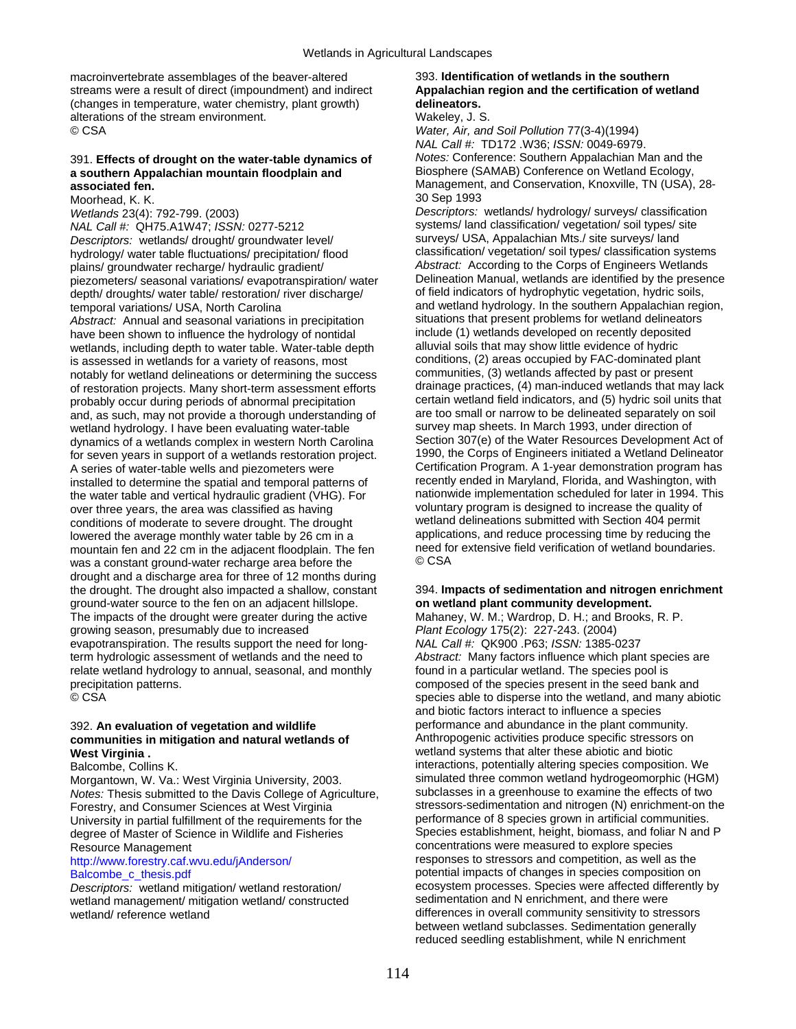macroinvertebrate assemblages of the beaver-altered streams were a result of direct (impoundment) and indirect (changes in temperature, water chemistry, plant growth) alterations of the stream environment. © CSA

### 391. **Effects of drought on the water-table dynamics of a southern Appalachian mountain floodplain and associated fen.**

Moorhead, K. K.

*Wetlands* 23(4): 792-799. (2003)

*NAL Call #:* QH75.A1W47; *ISSN:* 0277-5212 *Descriptors:* wetlands/ drought/ groundwater level/ hydrology/ water table fluctuations/ precipitation/ flood plains/ groundwater recharge/ hydraulic gradient/ piezometers/ seasonal variations/ evapotranspiration/ water depth/ droughts/ water table/ restoration/ river discharge/ temporal variations/ USA, North Carolina

*Abstract:* Annual and seasonal variations in precipitation have been shown to influence the hydrology of nontidal wetlands, including depth to water table. Water-table depth is assessed in wetlands for a variety of reasons, most notably for wetland delineations or determining the success of restoration projects. Many short-term assessment efforts probably occur during periods of abnormal precipitation and, as such, may not provide a thorough understanding of wetland hydrology. I have been evaluating water-table dynamics of a wetlands complex in western North Carolina for seven years in support of a wetlands restoration project. A series of water-table wells and piezometers were installed to determine the spatial and temporal patterns of the water table and vertical hydraulic gradient (VHG). For over three years, the area was classified as having conditions of moderate to severe drought. The drought lowered the average monthly water table by 26 cm in a mountain fen and 22 cm in the adjacent floodplain. The fen was a constant ground-water recharge area before the drought and a discharge area for three of 12 months during the drought. The drought also impacted a shallow, constant ground-water source to the fen on an adjacent hillslope. The impacts of the drought were greater during the active growing season, presumably due to increased evapotranspiration. The results support the need for longterm hydrologic assessment of wetlands and the need to relate wetland hydrology to annual, seasonal, and monthly precipitation patterns.

© CSA

# 392. **An evaluation of vegetation and wildlife communities in mitigation and natural wetlands of West Virginia .**

Balcombe, Collins K.

Morgantown, W. Va.: West Virginia University, 2003. *Notes:* Thesis submitted to the Davis College of Agriculture, Forestry, and Consumer Sciences at West Virginia University in partial fulfillment of the requirements for the degree of Master of Science in Wildlife and Fisheries Resource Management

### [http://www.forestry.caf.wvu.edu/jAnderson/](http://www.forestry.caf.wvu.edu/jAnderson/Balcombe_c_thesis.pdf)  Balcombe\_c\_thesis.pdf

*Descriptors:* wetland mitigation/ wetland restoration/ wetland management/ mitigation wetland/ constructed wetland/ reference wetland

# 393. **Identification of wetlands in the southern Appalachian region and the certification of wetland delineators.**

#### Wakeley, J. S.

*Water, Air, and Soil Pollution* 77(3-4)(1994) *NAL Call #:* TD172 .W36; *ISSN:* 0049-6979. *Notes:* Conference: Southern Appalachian Man and the Biosphere (SAMAB) Conference on Wetland Ecology, Management, and Conservation, Knoxville, TN (USA), 28- 30 Sep 1993

*Descriptors:* wetlands/ hydrology/ surveys/ classification systems/ land classification/ vegetation/ soil types/ site surveys/ USA, Appalachian Mts./ site surveys/ land classification/ vegetation/ soil types/ classification systems *Abstract:* According to the Corps of Engineers Wetlands Delineation Manual, wetlands are identified by the presence of field indicators of hydrophytic vegetation, hydric soils, and wetland hydrology. In the southern Appalachian region, situations that present problems for wetland delineators include (1) wetlands developed on recently deposited alluvial soils that may show little evidence of hydric conditions, (2) areas occupied by FAC-dominated plant communities, (3) wetlands affected by past or present drainage practices, (4) man-induced wetlands that may lack certain wetland field indicators, and (5) hydric soil units that are too small or narrow to be delineated separately on soil survey map sheets. In March 1993, under direction of Section 307(e) of the Water Resources Development Act of 1990, the Corps of Engineers initiated a Wetland Delineator Certification Program. A 1-year demonstration program has recently ended in Maryland, Florida, and Washington, with nationwide implementation scheduled for later in 1994. This voluntary program is designed to increase the quality of wetland delineations submitted with Section 404 permit applications, and reduce processing time by reducing the need for extensive field verification of wetland boundaries. © CSA

# 394. **Impacts of sedimentation and nitrogen enrichment on wetland plant community development.**

Mahaney, W. M.; Wardrop, D. H.; and Brooks, R. P. *Plant Ecology* 175(2): 227-243. (2004) *NAL Call #:* QK900 .P63; *ISSN:* 1385-0237 *Abstract:* Many factors influence which plant species are found in a particular wetland. The species pool is composed of the species present in the seed bank and species able to disperse into the wetland, and many abiotic and biotic factors interact to influence a species performance and abundance in the plant community. Anthropogenic activities produce specific stressors on wetland systems that alter these abiotic and biotic interactions, potentially altering species composition. We simulated three common wetland hydrogeomorphic (HGM) subclasses in a greenhouse to examine the effects of two stressors-sedimentation and nitrogen (N) enrichment-on the performance of 8 species grown in artificial communities. Species establishment, height, biomass, and foliar N and P concentrations were measured to explore species responses to stressors and competition, as well as the potential impacts of changes in species composition on ecosystem processes. Species were affected differently by sedimentation and N enrichment, and there were differences in overall community sensitivity to stressors between wetland subclasses. Sedimentation generally reduced seedling establishment, while N enrichment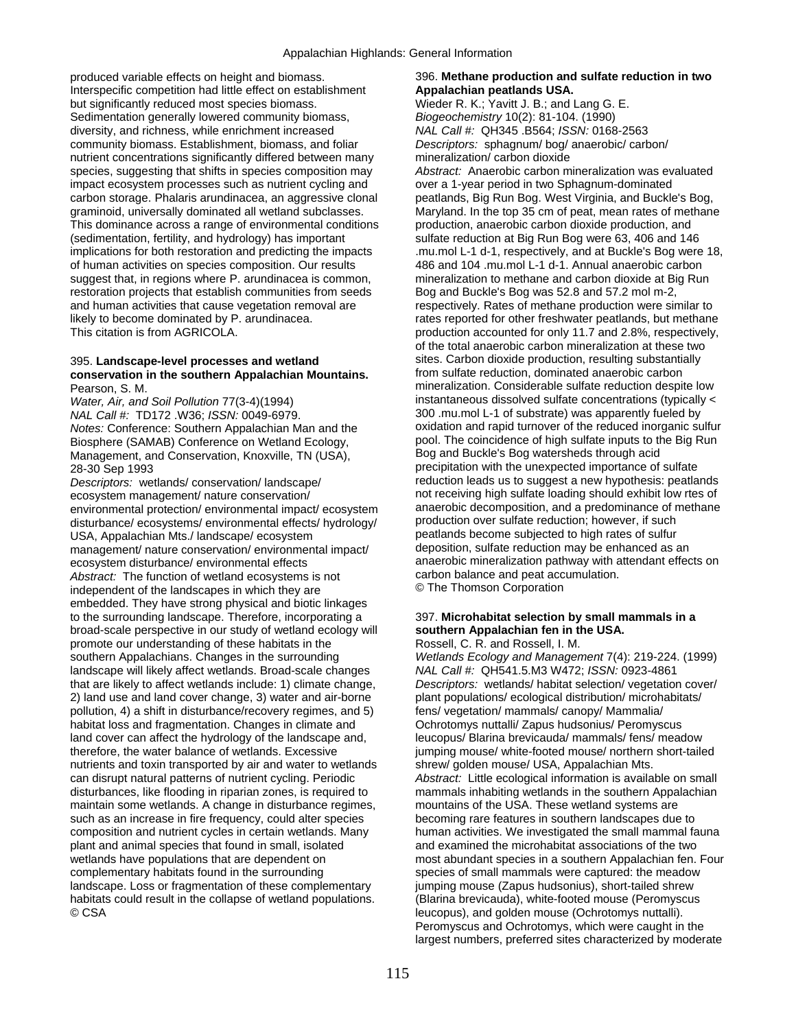produced variable effects on height and biomass. Interspecific competition had little effect on establishment but significantly reduced most species biomass. Sedimentation generally lowered community biomass, diversity, and richness, while enrichment increased community biomass. Establishment, biomass, and foliar nutrient concentrations significantly differed between many species, suggesting that shifts in species composition may impact ecosystem processes such as nutrient cycling and carbon storage. Phalaris arundinacea, an aggressive clonal graminoid, universally dominated all wetland subclasses. This dominance across a range of environmental conditions (sedimentation, fertility, and hydrology) has important implications for both restoration and predicting the impacts of human activities on species composition. Our results suggest that, in regions where P. arundinacea is common, restoration projects that establish communities from seeds and human activities that cause vegetation removal are likely to become dominated by P. arundinacea. This citation is from AGRICOLA.

#### 395. **Landscape-level processes and wetland conservation in the southern Appalachian Mountains.**  Pearson, S. M.

*Water, Air, and Soil Pollution* 77(3-4)(1994) *NAL Call #:* TD172 .W36; *ISSN:* 0049-6979. *Notes:* Conference: Southern Appalachian Man and the Biosphere (SAMAB) Conference on Wetland Ecology, Management, and Conservation, Knoxville, TN (USA), 28-30 Sep 1993

*Descriptors:* wetlands/ conservation/ landscape/ ecosystem management/ nature conservation/ environmental protection/ environmental impact/ ecosystem disturbance/ ecosystems/ environmental effects/ hydrology/ USA, Appalachian Mts./ landscape/ ecosystem management/ nature conservation/ environmental impact/ ecosystem disturbance/ environmental effects *Abstract:* The function of wetland ecosystems is not independent of the landscapes in which they are embedded. They have strong physical and biotic linkages to the surrounding landscape. Therefore, incorporating a broad-scale perspective in our study of wetland ecology will promote our understanding of these habitats in the southern Appalachians. Changes in the surrounding landscape will likely affect wetlands. Broad-scale changes that are likely to affect wetlands include: 1) climate change, 2) land use and land cover change, 3) water and air-borne pollution, 4) a shift in disturbance/recovery regimes, and 5) habitat loss and fragmentation. Changes in climate and land cover can affect the hydrology of the landscape and, therefore, the water balance of wetlands. Excessive nutrients and toxin transported by air and water to wetlands can disrupt natural patterns of nutrient cycling. Periodic disturbances, like flooding in riparian zones, is required to maintain some wetlands. A change in disturbance regimes, such as an increase in fire frequency, could alter species composition and nutrient cycles in certain wetlands. Many plant and animal species that found in small, isolated wetlands have populations that are dependent on complementary habitats found in the surrounding landscape. Loss or fragmentation of these complementary habitats could result in the collapse of wetland populations. © CSA

# 396. **Methane production and sulfate reduction in two Appalachian peatlands USA.**

Wieder R. K.; Yavitt J. B.; and Lang G. E. *Biogeochemistry* 10(2): 81-104. (1990) *NAL Call #:* QH345 .B564; *ISSN:* 0168-2563 *Descriptors:* sphagnum/ bog/ anaerobic/ carbon/ mineralization/ carbon dioxide

*Abstract:* Anaerobic carbon mineralization was evaluated over a 1-year period in two Sphagnum-dominated peatlands, Big Run Bog. West Virginia, and Buckle's Bog, Maryland. In the top 35 cm of peat, mean rates of methane production, anaerobic carbon dioxide production, and sulfate reduction at Big Run Bog were 63, 406 and 146 .mu.mol L-1 d-1, respectively, and at Buckle's Bog were 18, 486 and 104 .mu.mol L-1 d-1. Annual anaerobic carbon mineralization to methane and carbon dioxide at Big Run Bog and Buckle's Bog was 52.8 and 57.2 mol m-2, respectively. Rates of methane production were similar to rates reported for other freshwater peatlands, but methane production accounted for only 11.7 and 2.8%, respectively, of the total anaerobic carbon mineralization at these two sites. Carbon dioxide production, resulting substantially from sulfate reduction, dominated anaerobic carbon mineralization. Considerable sulfate reduction despite low instantaneous dissolved sulfate concentrations (typically < 300 .mu.mol L-1 of substrate) was apparently fueled by oxidation and rapid turnover of the reduced inorganic sulfur pool. The coincidence of high sulfate inputs to the Big Run Bog and Buckle's Bog watersheds through acid precipitation with the unexpected importance of sulfate reduction leads us to suggest a new hypothesis: peatlands not receiving high sulfate loading should exhibit low rtes of anaerobic decomposition, and a predominance of methane production over sulfate reduction; however, if such peatlands become subjected to high rates of sulfur deposition, sulfate reduction may be enhanced as an anaerobic mineralization pathway with attendant effects on carbon balance and peat accumulation. © The Thomson Corporation

#### 397. **Microhabitat selection by small mammals in a southern Appalachian fen in the USA.**  Rossell, C. R. and Rossell, I. M.

*Wetlands Ecology and Management* 7(4): 219-224. (1999) *NAL Call #:* QH541.5.M3 W472; *ISSN:* 0923-4861 *Descriptors:* wetlands/ habitat selection/ vegetation cover/ plant populations/ ecological distribution/ microhabitats/ fens/ vegetation/ mammals/ canopy/ Mammalia/ Ochrotomys nuttalli/ Zapus hudsonius/ Peromyscus leucopus/ Blarina brevicauda/ mammals/ fens/ meadow jumping mouse/ white-footed mouse/ northern short-tailed shrew/ golden mouse/ USA, Appalachian Mts. *Abstract:* Little ecological information is available on small mammals inhabiting wetlands in the southern Appalachian mountains of the USA. These wetland systems are becoming rare features in southern landscapes due to human activities. We investigated the small mammal fauna and examined the microhabitat associations of the two most abundant species in a southern Appalachian fen. Four species of small mammals were captured: the meadow jumping mouse (Zapus hudsonius), short-tailed shrew (Blarina brevicauda), white-footed mouse (Peromyscus leucopus), and golden mouse (Ochrotomys nuttalli). Peromyscus and Ochrotomys, which were caught in the largest numbers, preferred sites characterized by moderate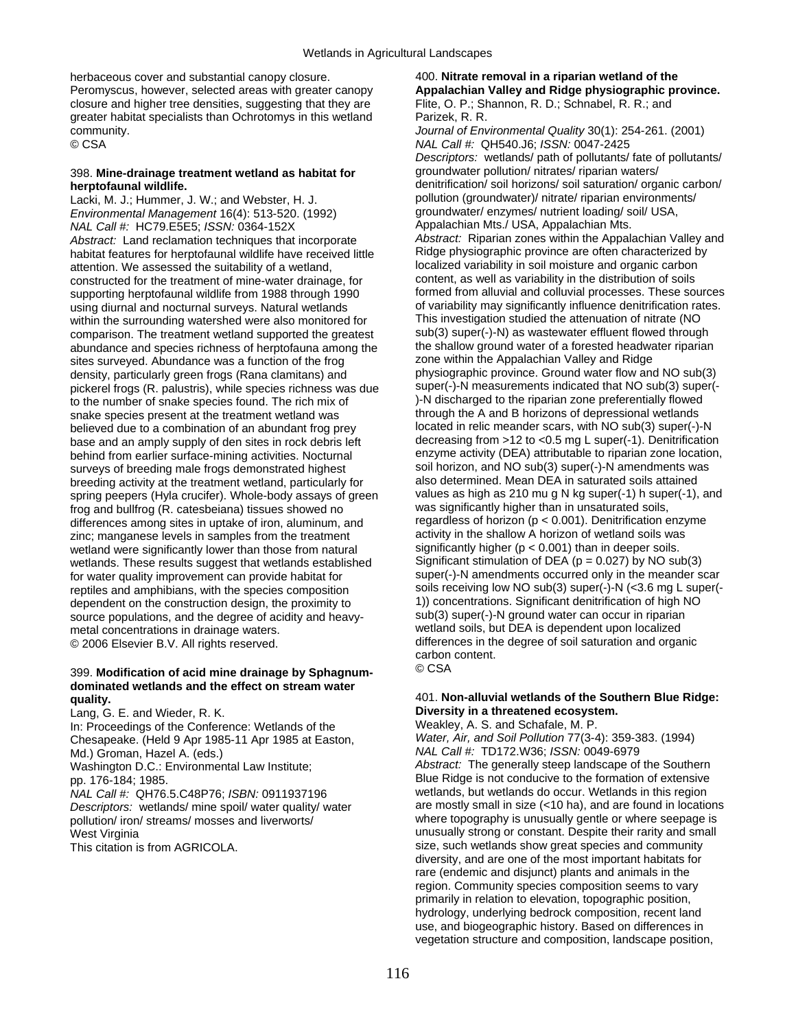herbaceous cover and substantial canopy closure.

Peromyscus, however, selected areas with greater canopy closure and higher tree densities, suggesting that they are greater habitat specialists than Ochrotomys in this wetland community.

© CSA

# 398. **Mine-drainage treatment wetland as habitat for herptofaunal wildlife.**

Lacki, M. J.; Hummer, J. W.; and Webster, H. J. *Environmental Management* 16(4): 513-520. (1992) *NAL Call #:* HC79.E5E5; *ISSN:* 0364-152X Abstract: Land reclamation techniques that incorporate habitat features for herptofaunal wildlife have received little attention. We assessed the suitability of a wetland, constructed for the treatment of mine-water drainage, for supporting herptofaunal wildlife from 1988 through 1990 using diurnal and nocturnal surveys. Natural wetlands within the surrounding watershed were also monitored for comparison. The treatment wetland supported the greatest abundance and species richness of herptofauna among the sites surveyed. Abundance was a function of the frog density, particularly green frogs (Rana clamitans) and pickerel frogs (R. palustris), while species richness was due to the number of snake species found. The rich mix of snake species present at the treatment wetland was believed due to a combination of an abundant frog prey base and an amply supply of den sites in rock debris left behind from earlier surface-mining activities. Nocturnal surveys of breeding male frogs demonstrated highest breeding activity at the treatment wetland, particularly for spring peepers (Hyla crucifer). Whole-body assays of green frog and bullfrog (R. catesbeiana) tissues showed no differences among sites in uptake of iron, aluminum, and zinc; manganese levels in samples from the treatment wetland were significantly lower than those from natural wetlands. These results suggest that wetlands established for water quality improvement can provide habitat for reptiles and amphibians, with the species composition dependent on the construction design, the proximity to source populations, and the degree of acidity and heavymetal concentrations in drainage waters. © 2006 Elsevier B.V. All rights reserved.

# 399. **Modification of acid mine drainage by Sphagnumdominated wetlands and the effect on stream water quality.**

Lang, G. E. and Wieder, R. K. In: Proceedings of the Conference: Wetlands of the Chesapeake. (Held 9 Apr 1985-11 Apr 1985 at Easton, Md.) Groman, Hazel A. (eds.) Washington D.C.: Environmental Law Institute; pp. 176-184; 1985. *NAL Call #:* QH76.5.C48P76; *ISBN:* 0911937196 *Descriptors:* wetlands/ mine spoil/ water quality/ water pollution/ iron/ streams/ mosses and liverworts/ West Virginia

This citation is from AGRICOLA.

#### 400. **Nitrate removal in a riparian wetland of the Appalachian Valley and Ridge physiographic province.**  Flite, O. P.; Shannon, R. D.; Schnabel, R. R.; and Parizek, R. R.

*Journal of Environmental Quality* 30(1): 254-261. (2001) *NAL Call #:* QH540.J6; *ISSN:* 0047-2425 *Descriptors:* wetlands/ path of pollutants/ fate of pollutants/ groundwater pollution/ nitrates/ riparian waters/ denitrification/ soil horizons/ soil saturation/ organic carbon/ pollution (groundwater)/ nitrate/ riparian environments/ groundwater/ enzymes/ nutrient loading/ soil/ USA, Appalachian Mts./ USA, Appalachian Mts. *Abstract:* Riparian zones within the Appalachian Valley and Ridge physiographic province are often characterized by localized variability in soil moisture and organic carbon content, as well as variability in the distribution of soils formed from alluvial and colluvial processes. These sources of variability may significantly influence denitrification rates. This investigation studied the attenuation of nitrate (NO sub(3) super(-)-N) as wastewater effluent flowed through the shallow ground water of a forested headwater riparian zone within the Appalachian Valley and Ridge physiographic province. Ground water flow and NO sub(3) super(-)-N measurements indicated that NO sub(3) super(- )-N discharged to the riparian zone preferentially flowed through the A and B horizons of depressional wetlands located in relic meander scars, with NO sub(3) super(-)-N decreasing from >12 to <0.5 mg L super(-1). Denitrification enzyme activity (DEA) attributable to riparian zone location, soil horizon, and NO sub(3) super(-)-N amendments was also determined. Mean DEA in saturated soils attained values as high as 210 mu g N kg super(-1) h super(-1), and was significantly higher than in unsaturated soils, regardless of horizon ( $p < 0.001$ ). Denitrification enzyme activity in the shallow A horizon of wetland soils was significantly higher ( $p < 0.001$ ) than in deeper soils. Significant stimulation of DEA ( $p = 0.027$ ) by NO sub(3) super(-)-N amendments occurred only in the meander scar soils receiving low NO sub(3) super(-)-N (< 3.6 mg L super(-1)) concentrations. Significant denitrification of high NO sub(3) super(-)-N ground water can occur in riparian wetland soils, but DEA is dependent upon localized differences in the degree of soil saturation and organic carbon content. © CSA

# 401. **Non-alluvial wetlands of the Southern Blue Ridge: Diversity in a threatened ecosystem.**

Weakley, A. S. and Schafale, M. P. *Water, Air, and Soil Pollution* 77(3-4): 359-383. (1994) *NAL Call #:* TD172.W36; *ISSN:* 0049-6979 *Abstract:* The generally steep landscape of the Southern Blue Ridge is not conducive to the formation of extensive wetlands, but wetlands do occur. Wetlands in this region are mostly small in size (<10 ha), and are found in locations where topography is unusually gentle or where seepage is unusually strong or constant. Despite their rarity and small size, such wetlands show great species and community diversity, and are one of the most important habitats for rare (endemic and disjunct) plants and animals in the region. Community species composition seems to vary primarily in relation to elevation, topographic position, hydrology, underlying bedrock composition, recent land use, and biogeographic history. Based on differences in vegetation structure and composition, landscape position,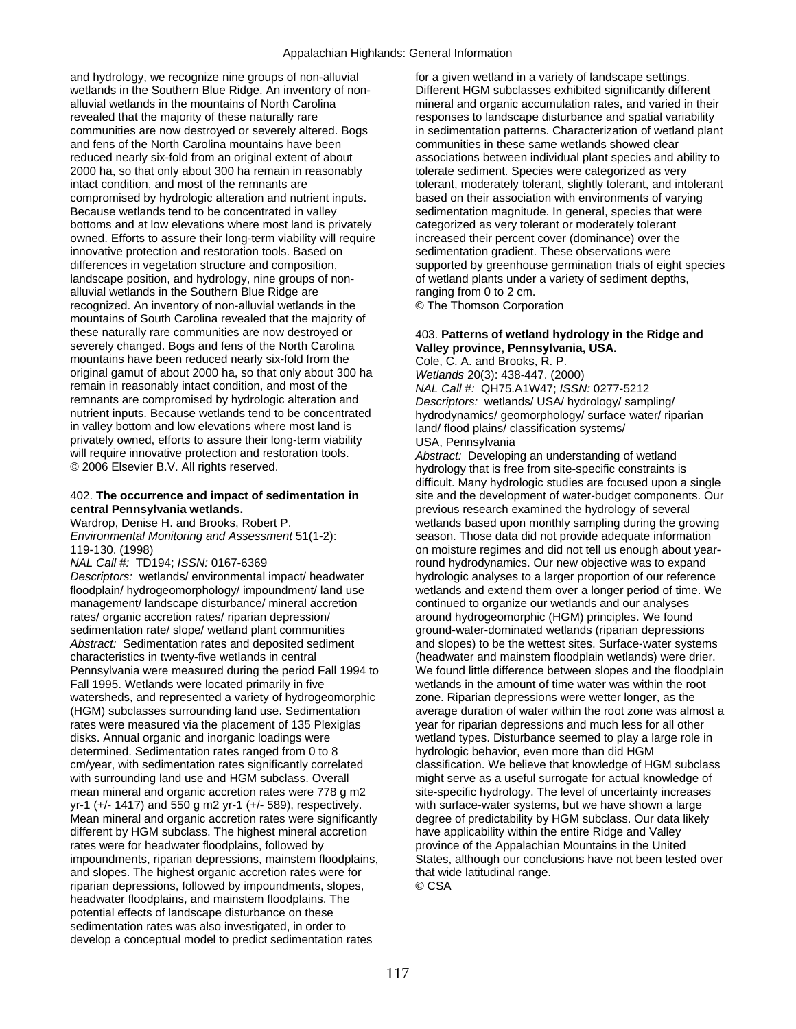and hydrology, we recognize nine groups of non-alluvial wetlands in the Southern Blue Ridge. An inventory of nonalluvial wetlands in the mountains of North Carolina revealed that the majority of these naturally rare communities are now destroyed or severely altered. Bogs and fens of the North Carolina mountains have been reduced nearly six-fold from an original extent of about 2000 ha, so that only about 300 ha remain in reasonably intact condition, and most of the remnants are compromised by hydrologic alteration and nutrient inputs. Because wetlands tend to be concentrated in valley bottoms and at low elevations where most land is privately owned. Efforts to assure their long-term viability will require innovative protection and restoration tools. Based on differences in vegetation structure and composition, landscape position, and hydrology, nine groups of nonalluvial wetlands in the Southern Blue Ridge are recognized. An inventory of non-alluvial wetlands in the mountains of South Carolina revealed that the majority of these naturally rare communities are now destroyed or severely changed. Bogs and fens of the North Carolina mountains have been reduced nearly six-fold from the original gamut of about 2000 ha, so that only about 300 ha remain in reasonably intact condition, and most of the remnants are compromised by hydrologic alteration and nutrient inputs. Because wetlands tend to be concentrated in valley bottom and low elevations where most land is privately owned, efforts to assure their long-term viability will require innovative protection and restoration tools. © 2006 Elsevier B.V. All rights reserved.

#### 402. **The occurrence and impact of sedimentation in central Pennsylvania wetlands.**

Wardrop, Denise H. and Brooks, Robert P. *Environmental Monitoring and Assessment* 51(1-2): 119-130. (1998)

*NAL Call #:* TD194; *ISSN:* 0167-6369 *Descriptors:* wetlands/ environmental impact/ headwater floodplain/ hydrogeomorphology/ impoundment/ land use management/ landscape disturbance/ mineral accretion rates/ organic accretion rates/ riparian depression/ sedimentation rate/ slope/ wetland plant communities *Abstract:* Sedimentation rates and deposited sediment characteristics in twenty-five wetlands in central Pennsylvania were measured during the period Fall 1994 to Fall 1995. Wetlands were located primarily in five watersheds, and represented a variety of hydrogeomorphic (HGM) subclasses surrounding land use. Sedimentation rates were measured via the placement of 135 Plexiglas disks. Annual organic and inorganic loadings were determined. Sedimentation rates ranged from 0 to 8 cm/year, with sedimentation rates significantly correlated with surrounding land use and HGM subclass. Overall mean mineral and organic accretion rates were 778 g m2 yr-1 (+/- 1417) and 550 g m2 yr-1 (+/- 589), respectively. Mean mineral and organic accretion rates were significantly different by HGM subclass. The highest mineral accretion rates were for headwater floodplains, followed by impoundments, riparian depressions, mainstem floodplains, and slopes. The highest organic accretion rates were for riparian depressions, followed by impoundments, slopes, headwater floodplains, and mainstem floodplains. The potential effects of landscape disturbance on these sedimentation rates was also investigated, in order to develop a conceptual model to predict sedimentation rates

for a given wetland in a variety of landscape settings. Different HGM subclasses exhibited significantly different mineral and organic accumulation rates, and varied in their responses to landscape disturbance and spatial variability in sedimentation patterns. Characterization of wetland plant communities in these same wetlands showed clear associations between individual plant species and ability to tolerate sediment. Species were categorized as very tolerant, moderately tolerant, slightly tolerant, and intolerant based on their association with environments of varying sedimentation magnitude. In general, species that were categorized as very tolerant or moderately tolerant increased their percent cover (dominance) over the sedimentation gradient. These observations were supported by greenhouse germination trials of eight species of wetland plants under a variety of sediment depths, ranging from 0 to 2 cm.

© The Thomson Corporation

# 403. **Patterns of wetland hydrology in the Ridge and Valley province, Pennsylvania, USA.**

Cole, C. A. and Brooks, R. P. *Wetlands* 20(3): 438-447. (2000) *NAL Call #:* QH75.A1W47; *ISSN:* 0277-5212 *Descriptors:* wetlands/ USA/ hydrology/ sampling/ hydrodynamics/ geomorphology/ surface water/ riparian land/ flood plains/ classification systems/ USA, Pennsylvania

*Abstract:* Developing an understanding of wetland hydrology that is free from site-specific constraints is difficult. Many hydrologic studies are focused upon a single site and the development of water-budget components. Our previous research examined the hydrology of several wetlands based upon monthly sampling during the growing season. Those data did not provide adequate information on moisture regimes and did not tell us enough about yearround hydrodynamics. Our new objective was to expand hydrologic analyses to a larger proportion of our reference wetlands and extend them over a longer period of time. We continued to organize our wetlands and our analyses around hydrogeomorphic (HGM) principles. We found ground-water-dominated wetlands (riparian depressions and slopes) to be the wettest sites. Surface-water systems (headwater and mainstem floodplain wetlands) were drier. We found little difference between slopes and the floodplain wetlands in the amount of time water was within the root zone. Riparian depressions were wetter longer, as the average duration of water within the root zone was almost a year for riparian depressions and much less for all other wetland types. Disturbance seemed to play a large role in hydrologic behavior, even more than did HGM classification. We believe that knowledge of HGM subclass might serve as a useful surrogate for actual knowledge of site-specific hydrology. The level of uncertainty increases with surface-water systems, but we have shown a large degree of predictability by HGM subclass. Our data likely have applicability within the entire Ridge and Valley province of the Appalachian Mountains in the United States, although our conclusions have not been tested over that wide latitudinal range. © CSA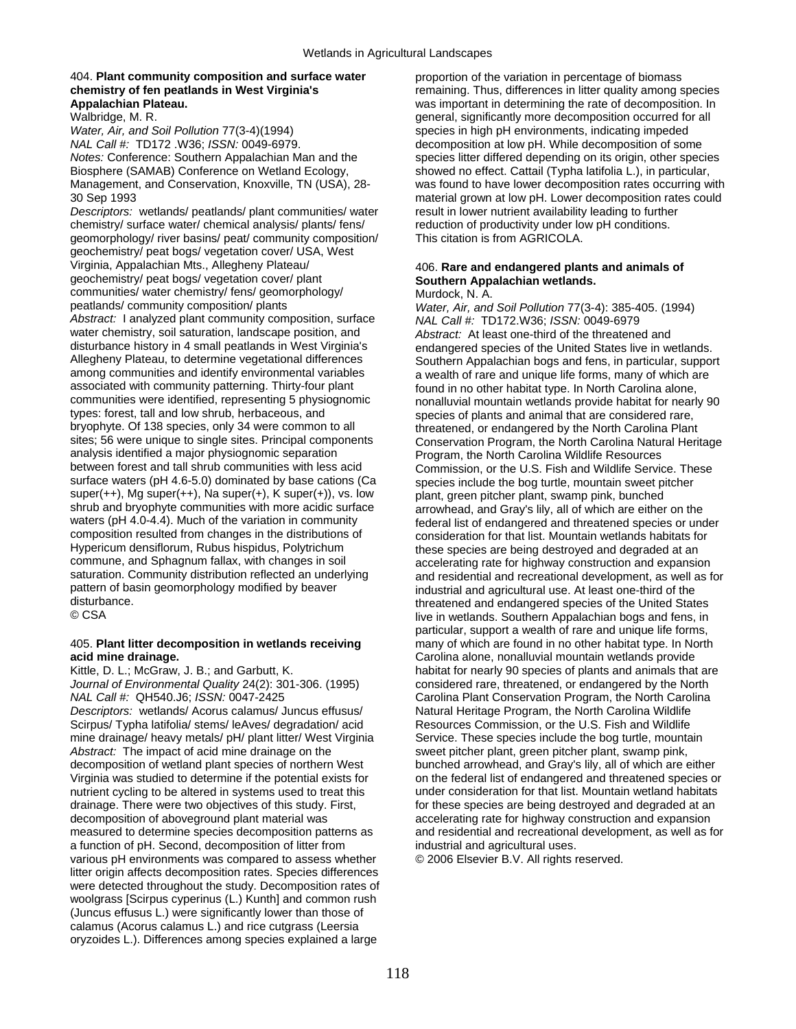#### 404. **Plant community composition and surface water chemistry of fen peatlands in West Virginia's Appalachian Plateau.**  Walbridge, M. R.

*Water, Air, and Soil Pollution* 77(3-4)(1994) *NAL Call #:* TD172 .W36; *ISSN:* 0049-6979. *Notes:* Conference: Southern Appalachian Man and the Biosphere (SAMAB) Conference on Wetland Ecology, Management, and Conservation, Knoxville, TN (USA), 28- 30 Sep 1993

*Descriptors:* wetlands/ peatlands/ plant communities/ water chemistry/ surface water/ chemical analysis/ plants/ fens/ geomorphology/ river basins/ peat/ community composition/ geochemistry/ peat bogs/ vegetation cover/ USA, West Virginia, Appalachian Mts., Allegheny Plateau/ geochemistry/ peat bogs/ vegetation cover/ plant communities/ water chemistry/ fens/ geomorphology/ peatlands/ community composition/ plants *Abstract:* I analyzed plant community composition, surface water chemistry, soil saturation, landscape position, and disturbance history in 4 small peatlands in West Virginia's Allegheny Plateau, to determine vegetational differences among communities and identify environmental variables associated with community patterning. Thirty-four plant communities were identified, representing 5 physiognomic types: forest, tall and low shrub, herbaceous, and bryophyte. Of 138 species, only 34 were common to all sites; 56 were unique to single sites. Principal components analysis identified a major physiognomic separation between forest and tall shrub communities with less acid surface waters (pH 4.6-5.0) dominated by base cations (Ca super( $++$ ), Mg super( $++$ ), Na super( $+$ ), K super( $+$ )), vs. low shrub and bryophyte communities with more acidic surface waters (pH 4.0-4.4). Much of the variation in community composition resulted from changes in the distributions of Hypericum densiflorum, Rubus hispidus, Polytrichum commune, and Sphagnum fallax, with changes in soil saturation. Community distribution reflected an underlying pattern of basin geomorphology modified by beaver disturbance. © CSA

# 405. **Plant litter decomposition in wetlands receiving acid mine drainage.**

Kittle, D. L.; McGraw, J. B.; and Garbutt, K. *Journal of Environmental Quality* 24(2): 301-306. (1995) *NAL Call #:* QH540.J6; *ISSN:* 0047-2425 *Descriptors:* wetlands/ Acorus calamus/ Juncus effusus/ Scirpus/ Typha latifolia/ stems/ leAves/ degradation/ acid mine drainage/ heavy metals/ pH/ plant litter/ West Virginia *Abstract:* The impact of acid mine drainage on the decomposition of wetland plant species of northern West Virginia was studied to determine if the potential exists for nutrient cycling to be altered in systems used to treat this drainage. There were two objectives of this study. First, decomposition of aboveground plant material was measured to determine species decomposition patterns as a function of pH. Second, decomposition of litter from various pH environments was compared to assess whether litter origin affects decomposition rates. Species differences were detected throughout the study. Decomposition rates of woolgrass [Scirpus cyperinus (L.) Kunth] and common rush (Juncus effusus L.) were significantly lower than those of calamus (Acorus calamus L.) and rice cutgrass (Leersia oryzoides L.). Differences among species explained a large

proportion of the variation in percentage of biomass remaining. Thus, differences in litter quality among species was important in determining the rate of decomposition. In general, significantly more decomposition occurred for all species in high pH environments, indicating impeded decomposition at low pH. While decomposition of some species litter differed depending on its origin, other species showed no effect. Cattail (Typha latifolia L.), in particular, was found to have lower decomposition rates occurring with material grown at low pH. Lower decomposition rates could result in lower nutrient availability leading to further reduction of productivity under low pH conditions. This citation is from AGRICOLA.

#### 406. **Rare and endangered plants and animals of Southern Appalachian wetlands.**  Murdock, N. A.

*Water, Air, and Soil Pollution* 77(3-4): 385-405. (1994) *NAL Call #:* TD172.W36; *ISSN:* 0049-6979 *Abstract:* At least one-third of the threatened and endangered species of the United States live in wetlands. Southern Appalachian bogs and fens, in particular, support a wealth of rare and unique life forms, many of which are found in no other habitat type. In North Carolina alone, nonalluvial mountain wetlands provide habitat for nearly 90 species of plants and animal that are considered rare, threatened, or endangered by the North Carolina Plant Conservation Program, the North Carolina Natural Heritage Program, the North Carolina Wildlife Resources Commission, or the U.S. Fish and Wildlife Service. These species include the bog turtle, mountain sweet pitcher plant, green pitcher plant, swamp pink, bunched arrowhead, and Gray's lily, all of which are either on the federal list of endangered and threatened species or under consideration for that list. Mountain wetlands habitats for these species are being destroyed and degraded at an accelerating rate for highway construction and expansion and residential and recreational development, as well as for industrial and agricultural use. At least one-third of the threatened and endangered species of the United States live in wetlands. Southern Appalachian bogs and fens, in particular, support a wealth of rare and unique life forms, many of which are found in no other habitat type. In North Carolina alone, nonalluvial mountain wetlands provide habitat for nearly 90 species of plants and animals that are considered rare, threatened, or endangered by the North Carolina Plant Conservation Program, the North Carolina Natural Heritage Program, the North Carolina Wildlife Resources Commission, or the U.S. Fish and Wildlife Service. These species include the bog turtle, mountain sweet pitcher plant, green pitcher plant, swamp pink, bunched arrowhead, and Gray's lily, all of which are either on the federal list of endangered and threatened species or under consideration for that list. Mountain wetland habitats for these species are being destroyed and degraded at an accelerating rate for highway construction and expansion and residential and recreational development, as well as for industrial and agricultural uses.

© 2006 Elsevier B.V. All rights reserved.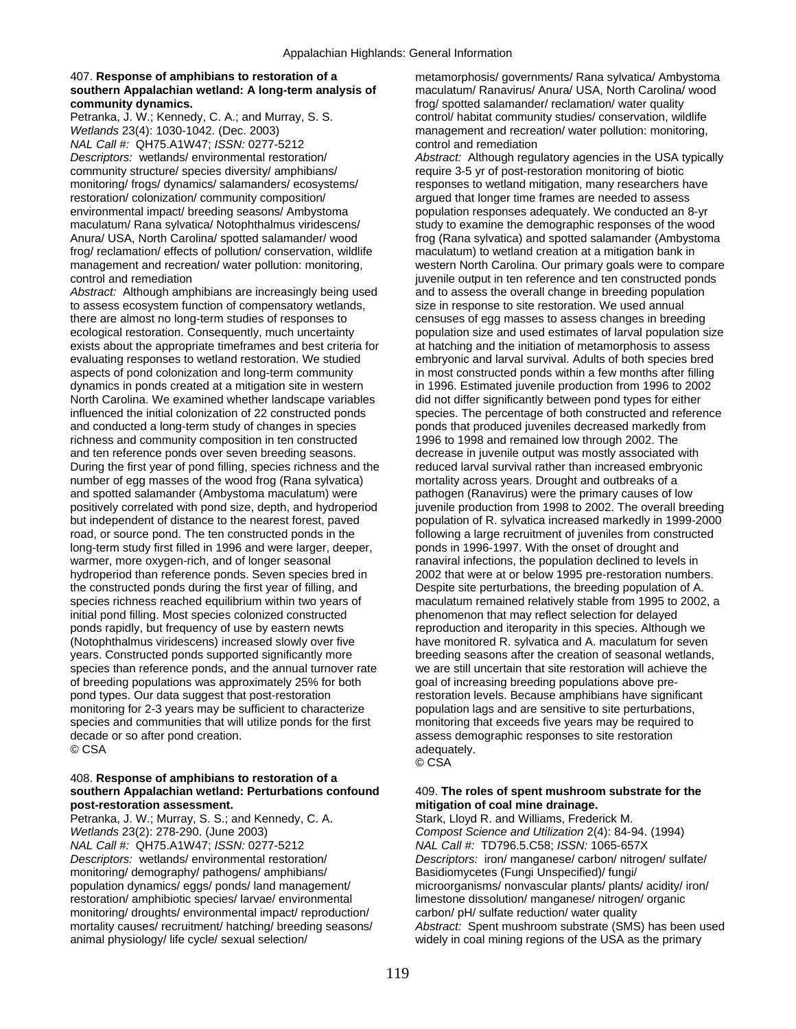#### 407. **Response of amphibians to restoration of a southern Appalachian wetland: A long-term analysis of community dynamics.**

Petranka, J. W.; Kennedy, C. A.; and Murray, S. S. *Wetlands* 23(4): 1030-1042. (Dec. 2003) *NAL Call #:* QH75.A1W47; *ISSN:* 0277-5212 *Descriptors:* wetlands/ environmental restoration/ community structure/ species diversity/ amphibians/ monitoring/ frogs/ dynamics/ salamanders/ ecosystems/ restoration/ colonization/ community composition/ environmental impact/ breeding seasons/ Ambystoma maculatum/ Rana sylvatica/ Notophthalmus viridescens/ Anura/ USA, North Carolina/ spotted salamander/ wood frog/ reclamation/ effects of pollution/ conservation, wildlife management and recreation/ water pollution: monitoring, control and remediation

*Abstract:* Although amphibians are increasingly being used to assess ecosystem function of compensatory wetlands, there are almost no long-term studies of responses to ecological restoration. Consequently, much uncertainty exists about the appropriate timeframes and best criteria for evaluating responses to wetland restoration. We studied aspects of pond colonization and long-term community dynamics in ponds created at a mitigation site in western North Carolina. We examined whether landscape variables influenced the initial colonization of 22 constructed ponds and conducted a long-term study of changes in species richness and community composition in ten constructed and ten reference ponds over seven breeding seasons. During the first year of pond filling, species richness and the number of egg masses of the wood frog (Rana sylvatica) and spotted salamander (Ambystoma maculatum) were positively correlated with pond size, depth, and hydroperiod but independent of distance to the nearest forest, paved road, or source pond. The ten constructed ponds in the long-term study first filled in 1996 and were larger, deeper, warmer, more oxygen-rich, and of longer seasonal hydroperiod than reference ponds. Seven species bred in the constructed ponds during the first year of filling, and species richness reached equilibrium within two years of initial pond filling. Most species colonized constructed ponds rapidly, but frequency of use by eastern newts (Notophthalmus viridescens) increased slowly over five years. Constructed ponds supported significantly more species than reference ponds, and the annual turnover rate of breeding populations was approximately 25% for both pond types. Our data suggest that post-restoration monitoring for 2-3 years may be sufficient to characterize species and communities that will utilize ponds for the first decade or so after pond creation. © CSA

#### 408. **Response of amphibians to restoration of a southern Appalachian wetland: Perturbations confound post-restoration assessment.**

Petranka, J. W.; Murray, S. S.; and Kennedy, C. A. *Wetlands* 23(2): 278-290. (June 2003) *NAL Call #:* QH75.A1W47; *ISSN:* 0277-5212 *Descriptors:* wetlands/ environmental restoration/ monitoring/ demography/ pathogens/ amphibians/ population dynamics/ eggs/ ponds/ land management/ restoration/ amphibiotic species/ larvae/ environmental monitoring/ droughts/ environmental impact/ reproduction/ mortality causes/ recruitment/ hatching/ breeding seasons/ animal physiology/ life cycle/ sexual selection/

metamorphosis/ governments/ Rana sylvatica/ Ambystoma maculatum/ Ranavirus/ Anura/ USA, North Carolina/ wood frog/ spotted salamander/ reclamation/ water quality control/ habitat community studies/ conservation, wildlife management and recreation/ water pollution: monitoring, control and remediation

*Abstract:* Although regulatory agencies in the USA typically require 3-5 yr of post-restoration monitoring of biotic responses to wetland mitigation, many researchers have argued that longer time frames are needed to assess population responses adequately. We conducted an 8-yr study to examine the demographic responses of the wood frog (Rana sylvatica) and spotted salamander (Ambystoma maculatum) to wetland creation at a mitigation bank in western North Carolina. Our primary goals were to compare juvenile output in ten reference and ten constructed ponds and to assess the overall change in breeding population size in response to site restoration. We used annual censuses of egg masses to assess changes in breeding population size and used estimates of larval population size at hatching and the initiation of metamorphosis to assess embryonic and larval survival. Adults of both species bred in most constructed ponds within a few months after filling in 1996. Estimated juvenile production from 1996 to 2002 did not differ significantly between pond types for either species. The percentage of both constructed and reference ponds that produced juveniles decreased markedly from 1996 to 1998 and remained low through 2002. The decrease in juvenile output was mostly associated with reduced larval survival rather than increased embryonic mortality across years. Drought and outbreaks of a pathogen (Ranavirus) were the primary causes of low juvenile production from 1998 to 2002. The overall breeding population of R. sylvatica increased markedly in 1999-2000 following a large recruitment of juveniles from constructed ponds in 1996-1997. With the onset of drought and ranaviral infections, the population declined to levels in 2002 that were at or below 1995 pre-restoration numbers. Despite site perturbations, the breeding population of A. maculatum remained relatively stable from 1995 to 2002, a phenomenon that may reflect selection for delayed reproduction and iteroparity in this species. Although we have monitored R. sylvatica and A. maculatum for seven breeding seasons after the creation of seasonal wetlands, we are still uncertain that site restoration will achieve the goal of increasing breeding populations above prerestoration levels. Because amphibians have significant population lags and are sensitive to site perturbations, monitoring that exceeds five years may be required to assess demographic responses to site restoration adequately. © CSA

#### 409. **The roles of spent mushroom substrate for the mitigation of coal mine drainage.**

Stark, Lloyd R. and Williams, Frederick M. *Compost Science and Utilization* 2(4): 84-94. (1994) *NAL Call #:* TD796.5.C58; *ISSN:* 1065-657X *Descriptors:* iron/ manganese/ carbon/ nitrogen/ sulfate/ Basidiomycetes (Fungi Unspecified)/ fungi/ microorganisms/ nonvascular plants/ plants/ acidity/ iron/ limestone dissolution/ manganese/ nitrogen/ organic carbon/ pH/ sulfate reduction/ water quality *Abstract:* Spent mushroom substrate (SMS) has been used widely in coal mining regions of the USA as the primary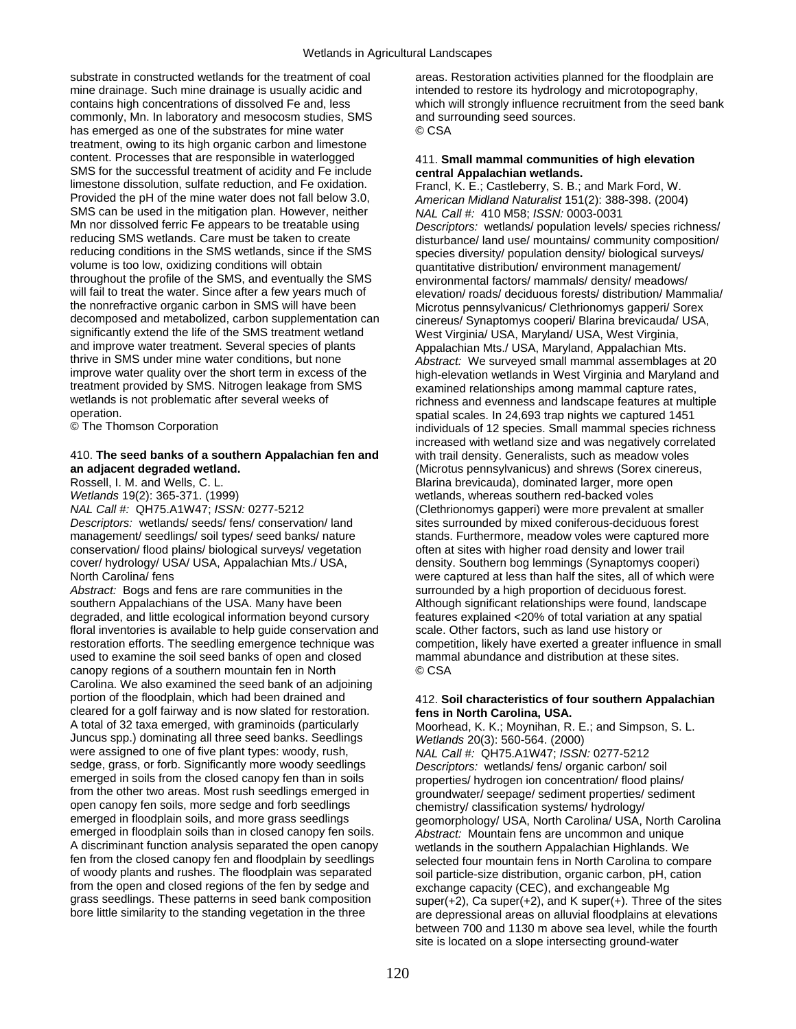substrate in constructed wetlands for the treatment of coal mine drainage. Such mine drainage is usually acidic and contains high concentrations of dissolved Fe and, less commonly, Mn. In laboratory and mesocosm studies, SMS has emerged as one of the substrates for mine water treatment, owing to its high organic carbon and limestone content. Processes that are responsible in waterlogged SMS for the successful treatment of acidity and Fe include limestone dissolution, sulfate reduction, and Fe oxidation. Provided the pH of the mine water does not fall below 3.0, SMS can be used in the mitigation plan. However, neither Mn nor dissolved ferric Fe appears to be treatable using reducing SMS wetlands. Care must be taken to create reducing conditions in the SMS wetlands, since if the SMS volume is too low, oxidizing conditions will obtain throughout the profile of the SMS, and eventually the SMS will fail to treat the water. Since after a few years much of the nonrefractive organic carbon in SMS will have been decomposed and metabolized, carbon supplementation can significantly extend the life of the SMS treatment wetland and improve water treatment. Several species of plants thrive in SMS under mine water conditions, but none improve water quality over the short term in excess of the treatment provided by SMS. Nitrogen leakage from SMS wetlands is not problematic after several weeks of operation.

© The Thomson Corporation

# 410. **The seed banks of a southern Appalachian fen and an adjacent degraded wetland.**

Rossell, I. M. and Wells, C. L.

*Wetlands* 19(2): 365-371. (1999) *NAL Call #:* QH75.A1W47; *ISSN:* 0277-5212 *Descriptors:* wetlands/ seeds/ fens/ conservation/ land management/ seedlings/ soil types/ seed banks/ nature conservation/ flood plains/ biological surveys/ vegetation cover/ hydrology/ USA/ USA, Appalachian Mts./ USA, North Carolina/ fens

*Abstract:* Bogs and fens are rare communities in the southern Appalachians of the USA. Many have been degraded, and little ecological information beyond cursory floral inventories is available to help guide conservation and restoration efforts. The seedling emergence technique was used to examine the soil seed banks of open and closed canopy regions of a southern mountain fen in North Carolina. We also examined the seed bank of an adjoining portion of the floodplain, which had been drained and cleared for a golf fairway and is now slated for restoration. A total of 32 taxa emerged, with graminoids (particularly Juncus spp.) dominating all three seed banks. Seedlings were assigned to one of five plant types: woody, rush, sedge, grass, or forb. Significantly more woody seedlings emerged in soils from the closed canopy fen than in soils from the other two areas. Most rush seedlings emerged in open canopy fen soils, more sedge and forb seedlings emerged in floodplain soils, and more grass seedlings emerged in floodplain soils than in closed canopy fen soils. A discriminant function analysis separated the open canopy fen from the closed canopy fen and floodplain by seedlings of woody plants and rushes. The floodplain was separated from the open and closed regions of the fen by sedge and grass seedlings. These patterns in seed bank composition bore little similarity to the standing vegetation in the three

areas. Restoration activities planned for the floodplain are intended to restore its hydrology and microtopography, which will strongly influence recruitment from the seed bank and surrounding seed sources. © CSA

# 411. **Small mammal communities of high elevation central Appalachian wetlands.**

Francl, K. E.; Castleberry, S. B.; and Mark Ford, W. *American Midland Naturalist* 151(2): 388-398. (2004) *NAL Call #:* 410 M58; *ISSN:* 0003-0031 *Descriptors:* wetlands/ population levels/ species richness/ disturbance/ land use/ mountains/ community composition/ species diversity/ population density/ biological surveys/ quantitative distribution/ environment management/ environmental factors/ mammals/ density/ meadows/ elevation/ roads/ deciduous forests/ distribution/ Mammalia/ Microtus pennsylvanicus/ Clethrionomys gapperi/ Sorex cinereus/ Synaptomys cooperi/ Blarina brevicauda/ USA, West Virginia/ USA, Maryland/ USA, West Virginia, Appalachian Mts./ USA, Maryland, Appalachian Mts. *Abstract:* We surveyed small mammal assemblages at 20 high-elevation wetlands in West Virginia and Maryland and examined relationships among mammal capture rates, richness and evenness and landscape features at multiple spatial scales. In 24,693 trap nights we captured 1451 individuals of 12 species. Small mammal species richness increased with wetland size and was negatively correlated with trail density. Generalists, such as meadow voles (Microtus pennsylvanicus) and shrews (Sorex cinereus, Blarina brevicauda), dominated larger, more open wetlands, whereas southern red-backed voles (Clethrionomys gapperi) were more prevalent at smaller sites surrounded by mixed coniferous-deciduous forest stands. Furthermore, meadow voles were captured more often at sites with higher road density and lower trail density. Southern bog lemmings (Synaptomys cooperi) were captured at less than half the sites, all of which were surrounded by a high proportion of deciduous forest. Although significant relationships were found, landscape features explained <20% of total variation at any spatial scale. Other factors, such as land use history or competition, likely have exerted a greater influence in small mammal abundance and distribution at these sites. © CSA

# 412. **Soil characteristics of four southern Appalachian fens in North Carolina, USA.**

Moorhead, K. K.; Moynihan, R. E.; and Simpson, S. L. *Wetlands* 20(3): 560-564. (2000) *NAL Call #:* QH75.A1W47; *ISSN:* 0277-5212 *Descriptors:* wetlands/ fens/ organic carbon/ soil properties/ hydrogen ion concentration/ flood plains/ groundwater/ seepage/ sediment properties/ sediment chemistry/ classification systems/ hydrology/ geomorphology/ USA, North Carolina/ USA, North Carolina *Abstract:* Mountain fens are uncommon and unique wetlands in the southern Appalachian Highlands. We selected four mountain fens in North Carolina to compare soil particle-size distribution, organic carbon, pH, cation exchange capacity (CEC), and exchangeable Mg super(+2), Ca super(+2), and K super(+). Three of the sites are depressional areas on alluvial floodplains at elevations between 700 and 1130 m above sea level, while the fourth site is located on a slope intersecting ground-water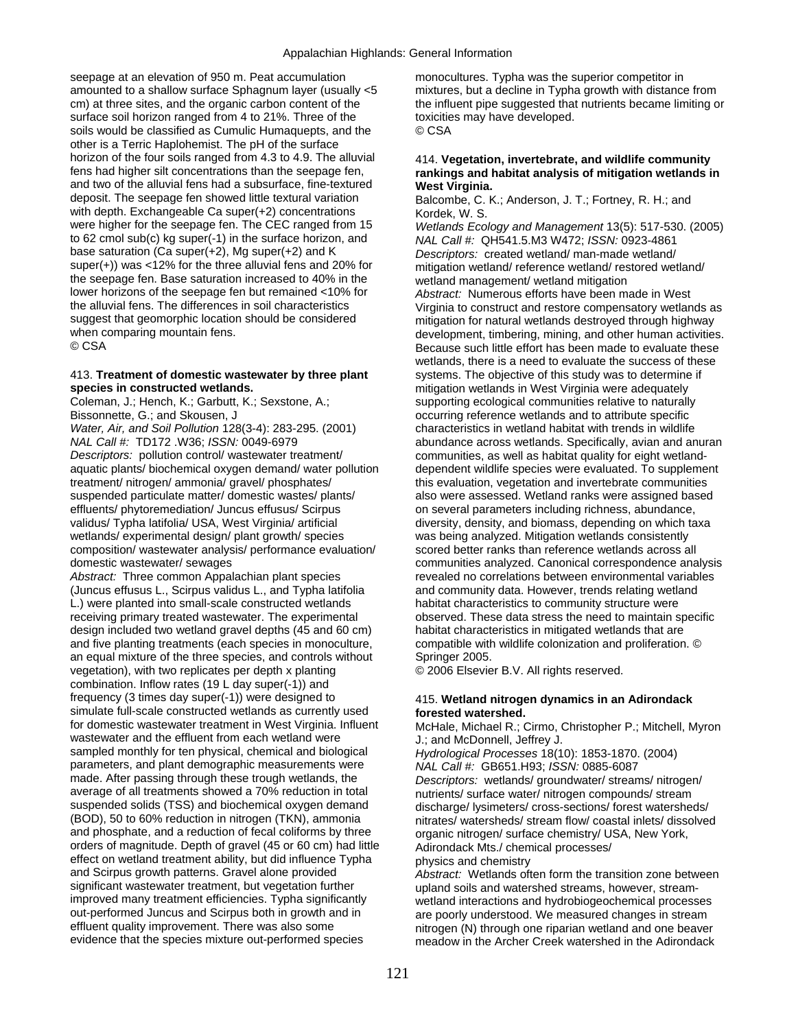seepage at an elevation of 950 m. Peat accumulation amounted to a shallow surface Sphagnum layer (usually <5 cm) at three sites, and the organic carbon content of the surface soil horizon ranged from 4 to 21%. Three of the soils would be classified as Cumulic Humaquepts, and the other is a Terric Haplohemist. The pH of the surface horizon of the four soils ranged from 4.3 to 4.9. The alluvial fens had higher silt concentrations than the seepage fen, and two of the alluvial fens had a subsurface, fine-textured deposit. The seepage fen showed little textural variation with depth. Exchangeable Ca super(+2) concentrations were higher for the seepage fen. The CEC ranged from 15 to 62 cmol sub(c) kg super(-1) in the surface horizon, and base saturation (Ca super(+2), Mg super(+2) and K super(+)) was <12% for the three alluvial fens and 20% for the seepage fen. Base saturation increased to 40% in the lower horizons of the seepage fen but remained <10% for the alluvial fens. The differences in soil characteristics suggest that geomorphic location should be considered when comparing mountain fens. © CSA

# 413. **Treatment of domestic wastewater by three plant species in constructed wetlands.**

Coleman, J.; Hench, K.; Garbutt, K.; Sexstone, A.; Bissonnette, G.; and Skousen, J *Water, Air, and Soil Pollution* 128(3-4): 283-295. (2001) *NAL Call #:* TD172 .W36; *ISSN:* 0049-6979 *Descriptors:* pollution control/ wastewater treatment/ aquatic plants/ biochemical oxygen demand/ water pollution treatment/ nitrogen/ ammonia/ gravel/ phosphates/ suspended particulate matter/ domestic wastes/ plants/ effluents/ phytoremediation/ Juncus effusus/ Scirpus validus/ Typha latifolia/ USA, West Virginia/ artificial wetlands/ experimental design/ plant growth/ species composition/ wastewater analysis/ performance evaluation/ domestic wastewater/ sewages

*Abstract:* Three common Appalachian plant species (Juncus effusus L., Scirpus validus L., and Typha latifolia L.) were planted into small-scale constructed wetlands receiving primary treated wastewater. The experimental design included two wetland gravel depths (45 and 60 cm) and five planting treatments (each species in monoculture, an equal mixture of the three species, and controls without vegetation), with two replicates per depth x planting combination. Inflow rates (19 L day super(-1)) and frequency (3 times day super(-1)) were designed to simulate full-scale constructed wetlands as currently used for domestic wastewater treatment in West Virginia. Influent wastewater and the effluent from each wetland were sampled monthly for ten physical, chemical and biological parameters, and plant demographic measurements were made. After passing through these trough wetlands, the average of all treatments showed a 70% reduction in total suspended solids (TSS) and biochemical oxygen demand (BOD), 50 to 60% reduction in nitrogen (TKN), ammonia and phosphate, and a reduction of fecal coliforms by three orders of magnitude. Depth of gravel (45 or 60 cm) had little effect on wetland treatment ability, but did influence Typha and Scirpus growth patterns. Gravel alone provided significant wastewater treatment, but vegetation further improved many treatment efficiencies. Typha significantly out-performed Juncus and Scirpus both in growth and in effluent quality improvement. There was also some evidence that the species mixture out-performed species

monocultures. Typha was the superior competitor in mixtures, but a decline in Typha growth with distance from the influent pipe suggested that nutrients became limiting or toxicities may have developed. © CSA

#### 414. **Vegetation, invertebrate, and wildlife community rankings and habitat analysis of mitigation wetlands in West Virginia.**

Balcombe, C. K.; Anderson, J. T.; Fortney, R. H.; and Kordek, W. S.

*Wetlands Ecology and Management* 13(5): 517-530. (2005) *NAL Call #:* QH541.5.M3 W472; *ISSN:* 0923-4861 *Descriptors:* created wetland/ man-made wetland/ mitigation wetland/ reference wetland/ restored wetland/ wetland management/ wetland mitigation *Abstract:* Numerous efforts have been made in West Virginia to construct and restore compensatory wetlands as mitigation for natural wetlands destroyed through highway development, timbering, mining, and other human activities. Because such little effort has been made to evaluate these wetlands, there is a need to evaluate the success of these systems. The objective of this study was to determine if mitigation wetlands in West Virginia were adequately supporting ecological communities relative to naturally occurring reference wetlands and to attribute specific characteristics in wetland habitat with trends in wildlife abundance across wetlands. Specifically, avian and anuran communities, as well as habitat quality for eight wetlanddependent wildlife species were evaluated. To supplement this evaluation, vegetation and invertebrate communities also were assessed. Wetland ranks were assigned based on several parameters including richness, abundance, diversity, density, and biomass, depending on which taxa was being analyzed. Mitigation wetlands consistently scored better ranks than reference wetlands across all communities analyzed. Canonical correspondence analysis revealed no correlations between environmental variables and community data. However, trends relating wetland habitat characteristics to community structure were observed. These data stress the need to maintain specific habitat characteristics in mitigated wetlands that are compatible with wildlife colonization and proliferation. © Springer 2005.

© 2006 Elsevier B.V. All rights reserved.

# 415. **Wetland nitrogen dynamics in an Adirondack forested watershed.**

McHale, Michael R.; Cirmo, Christopher P.; Mitchell, Myron J.; and McDonnell, Jeffrey J.

*Hydrological Processes* 18(10): 1853-1870. (2004) *NAL Call #:* GB651.H93; *ISSN:* 0885-6087 *Descriptors:* wetlands/ groundwater/ streams/ nitrogen/ nutrients/ surface water/ nitrogen compounds/ stream discharge/ lysimeters/ cross-sections/ forest watersheds/ nitrates/ watersheds/ stream flow/ coastal inlets/ dissolved organic nitrogen/ surface chemistry/ USA, New York, Adirondack Mts./ chemical processes/ physics and chemistry

*Abstract:* Wetlands often form the transition zone between upland soils and watershed streams, however, streamwetland interactions and hydrobiogeochemical processes are poorly understood. We measured changes in stream nitrogen (N) through one riparian wetland and one beaver meadow in the Archer Creek watershed in the Adirondack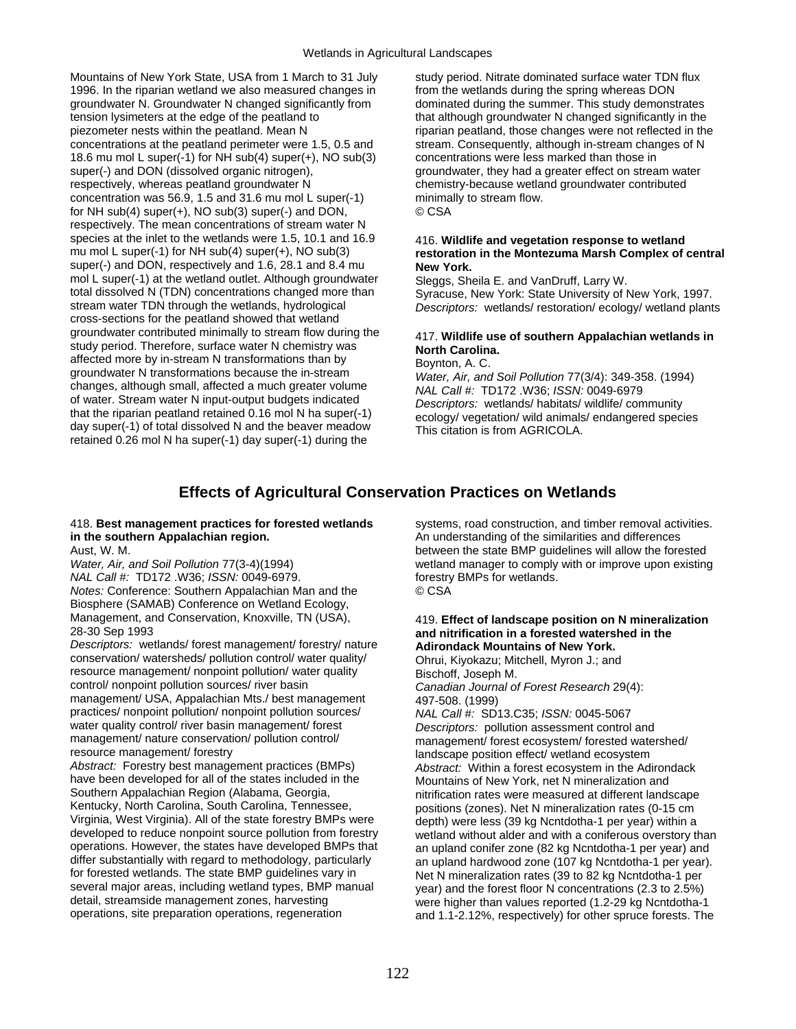Mountains of New York State, USA from 1 March to 31 July 1996. In the riparian wetland we also measured changes in groundwater N. Groundwater N changed significantly from tension lysimeters at the edge of the peatland to piezometer nests within the peatland. Mean N concentrations at the peatland perimeter were 1.5, 0.5 and 18.6 mu mol L super(-1) for NH sub(4) super(+), NO sub(3) super(-) and DON (dissolved organic nitrogen), respectively, whereas peatland groundwater N concentration was 56.9, 1.5 and 31.6 mu mol L super(-1) for NH sub(4) super(+), NO sub(3) super(-) and DON, respectively. The mean concentrations of stream water N species at the inlet to the wetlands were 1.5, 10.1 and 16.9 mu mol L super(-1) for NH sub(4) super(+), NO sub(3) super(-) and DON, respectively and 1.6, 28.1 and 8.4 mu mol L super(-1) at the wetland outlet. Although groundwater total dissolved N (TDN) concentrations changed more than stream water TDN through the wetlands, hydrological cross-sections for the peatland showed that wetland groundwater contributed minimally to stream flow during the study period. Therefore, surface water N chemistry was affected more by in-stream N transformations than by groundwater N transformations because the in-stream changes, although small, affected a much greater volume of water. Stream water N input-output budgets indicated that the riparian peatland retained 0.16 mol N ha super(-1) day super(-1) of total dissolved N and the beaver meadow retained 0.26 mol N ha super(-1) day super(-1) during the

study period. Nitrate dominated surface water TDN flux from the wetlands during the spring whereas DON dominated during the summer. This study demonstrates that although groundwater N changed significantly in the riparian peatland, those changes were not reflected in the stream. Consequently, although in-stream changes of N concentrations were less marked than those in groundwater, they had a greater effect on stream water chemistry-because wetland groundwater contributed minimally to stream flow. © CSA

# 416. **Wildlife and vegetation response to wetland restoration in the Montezuma Marsh Complex of central New York.**

Sleggs, Sheila E. and VanDruff, Larry W. Syracuse, New York: State University of New York, 1997. *Descriptors:* wetlands/ restoration/ ecology/ wetland plants

# 417. **Wildlife use of southern Appalachian wetlands in North Carolina.**

Boynton, A. C.

*Water, Air, and Soil Pollution* 77(3/4): 349-358. (1994) *NAL Call #:* TD172 .W36; *ISSN:* 0049-6979 *Descriptors:* wetlands/ habitats/ wildlife/ community ecology/ vegetation/ wild animals/ endangered species This citation is from AGRICOLA.

# **Effects of Agricultural Conservation Practices on Wetlands**

#### 418. **Best management practices for forested wetlands in the southern Appalachian region.**  Aust, W. M.

*Water, Air, and Soil Pollution* 77(3-4)(1994) *NAL Call #:* TD172 .W36; *ISSN:* 0049-6979. *Notes:* Conference: Southern Appalachian Man and the Biosphere (SAMAB) Conference on Wetland Ecology, Management, and Conservation, Knoxville, TN (USA), 28-30 Sep 1993

*Descriptors:* wetlands/ forest management/ forestry/ nature conservation/ watersheds/ pollution control/ water quality/ resource management/ nonpoint pollution/ water quality control/ nonpoint pollution sources/ river basin management/ USA, Appalachian Mts./ best management practices/ nonpoint pollution/ nonpoint pollution sources/ water quality control/ river basin management/ forest management/ nature conservation/ pollution control/ resource management/ forestry

*Abstract:* Forestry best management practices (BMPs) have been developed for all of the states included in the Southern Appalachian Region (Alabama, Georgia, Kentucky, North Carolina, South Carolina, Tennessee, Virginia, West Virginia). All of the state forestry BMPs were developed to reduce nonpoint source pollution from forestry operations. However, the states have developed BMPs that differ substantially with regard to methodology, particularly for forested wetlands. The state BMP guidelines vary in several major areas, including wetland types, BMP manual detail, streamside management zones, harvesting operations, site preparation operations, regeneration

systems, road construction, and timber removal activities. An understanding of the similarities and differences between the state BMP guidelines will allow the forested wetland manager to comply with or improve upon existing forestry BMPs for wetlands. © CSA

# 419. **Effect of landscape position on N mineralization and nitrification in a forested watershed in the Adirondack Mountains of New York.**

Ohrui, Kiyokazu; Mitchell, Myron J.; and Bischoff, Joseph M. *Canadian Journal of Forest Research* 29(4): 497-508. (1999)

*NAL Call #:* SD13.C35; *ISSN:* 0045-5067 *Descriptors:* pollution assessment control and management/ forest ecosystem/ forested watershed/ landscape position effect/ wetland ecosystem *Abstract:* Within a forest ecosystem in the Adirondack Mountains of New York, net N mineralization and nitrification rates were measured at different landscape positions (zones). Net N mineralization rates (0-15 cm depth) were less (39 kg Ncntdotha-1 per year) within a wetland without alder and with a coniferous overstory than an upland conifer zone (82 kg Ncntdotha-1 per year) and an upland hardwood zone (107 kg Ncntdotha-1 per year). Net N mineralization rates (39 to 82 kg Ncntdotha-1 per year) and the forest floor N concentrations (2.3 to 2.5%) were higher than values reported (1.2-29 kg Ncntdotha-1 and 1.1-2.12%, respectively) for other spruce forests. The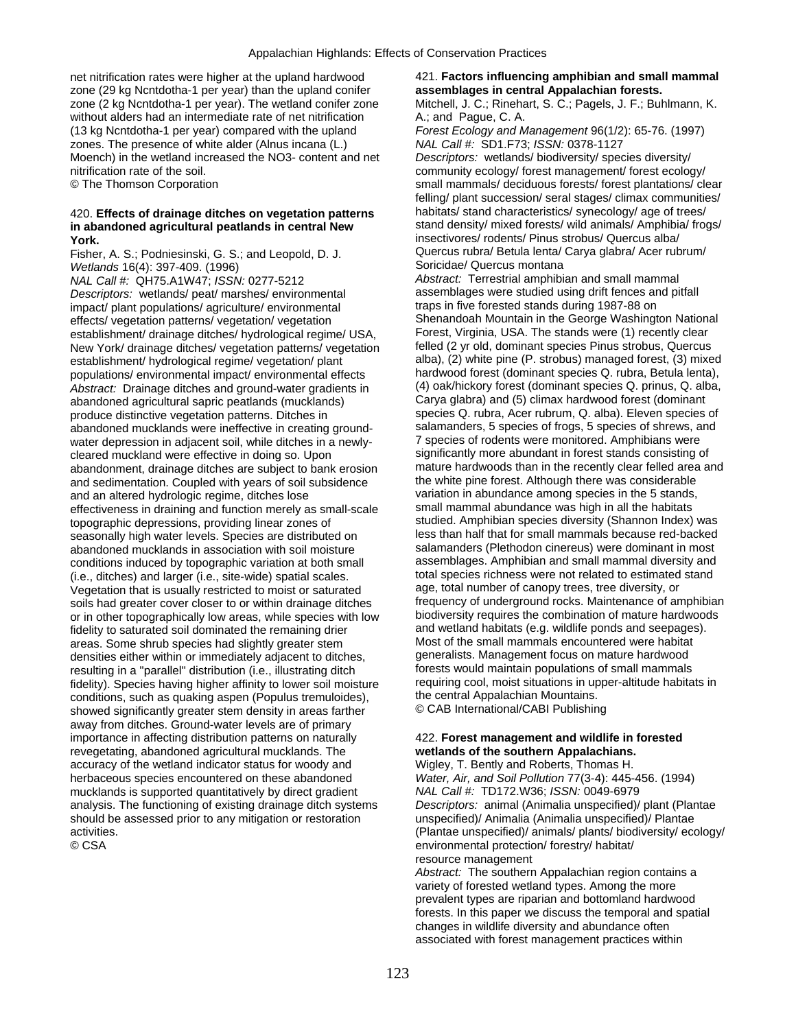net nitrification rates were higher at the upland hardwood zone (29 kg Ncntdotha-1 per year) than the upland conifer zone (2 kg Ncntdotha-1 per year). The wetland conifer zone without alders had an intermediate rate of net nitrification (13 kg Ncntdotha-1 per year) compared with the upland zones. The presence of white alder (Alnus incana (L.) Moench) in the wetland increased the NO3- content and net nitrification rate of the soil.

© The Thomson Corporation

# 420. **Effects of drainage ditches on vegetation patterns in abandoned agricultural peatlands in central New York.**

Fisher, A. S.; Podniesinski, G. S.; and Leopold, D. J. *Wetlands* 16(4): 397-409. (1996)

*NAL Call #:* QH75.A1W47; *ISSN:* 0277-5212 *Descriptors:* wetlands/ peat/ marshes/ environmental impact/ plant populations/ agriculture/ environmental effects/ vegetation patterns/ vegetation/ vegetation establishment/ drainage ditches/ hydrological regime/ USA, New York/ drainage ditches/ vegetation patterns/ vegetation establishment/ hydrological regime/ vegetation/ plant populations/ environmental impact/ environmental effects *Abstract:* Drainage ditches and ground-water gradients in abandoned agricultural sapric peatlands (mucklands) produce distinctive vegetation patterns. Ditches in abandoned mucklands were ineffective in creating groundwater depression in adjacent soil, while ditches in a newlycleared muckland were effective in doing so. Upon abandonment, drainage ditches are subject to bank erosion and sedimentation. Coupled with years of soil subsidence and an altered hydrologic regime, ditches lose effectiveness in draining and function merely as small-scale topographic depressions, providing linear zones of seasonally high water levels. Species are distributed on abandoned mucklands in association with soil moisture conditions induced by topographic variation at both small (i.e., ditches) and larger (i.e., site-wide) spatial scales. Vegetation that is usually restricted to moist or saturated soils had greater cover closer to or within drainage ditches or in other topographically low areas, while species with low fidelity to saturated soil dominated the remaining drier areas. Some shrub species had slightly greater stem densities either within or immediately adjacent to ditches, resulting in a "parallel" distribution (i.e., illustrating ditch fidelity). Species having higher affinity to lower soil moisture conditions, such as quaking aspen (Populus tremuloides), showed significantly greater stem density in areas farther away from ditches. Ground-water levels are of primary importance in affecting distribution patterns on naturally revegetating, abandoned agricultural mucklands. The accuracy of the wetland indicator status for woody and herbaceous species encountered on these abandoned mucklands is supported quantitatively by direct gradient analysis. The functioning of existing drainage ditch systems should be assessed prior to any mitigation or restoration activities.

© CSA

421. **Factors influencing amphibian and small mammal assemblages in central Appalachian forests.** 

Mitchell, J. C.; Rinehart, S. C.; Pagels, J. F.; Buhlmann, K. A.; and Pague, C. A.

*Forest Ecology and Management* 96(1/2): 65-76. (1997) *NAL Call #:* SD1.F73; *ISSN:* 0378-1127

*Descriptors:* wetlands/ biodiversity/ species diversity/ community ecology/ forest management/ forest ecology/ small mammals/ deciduous forests/ forest plantations/ clear felling/ plant succession/ seral stages/ climax communities/ habitats/ stand characteristics/ synecology/ age of trees/ stand density/ mixed forests/ wild animals/ Amphibia/ frogs/ insectivores/ rodents/ Pinus strobus/ Quercus alba/ Quercus rubra/ Betula lenta/ Carya glabra/ Acer rubrum/ Soricidae/ Quercus montana

*Abstract:* Terrestrial amphibian and small mammal assemblages were studied using drift fences and pitfall traps in five forested stands during 1987-88 on Shenandoah Mountain in the George Washington National Forest, Virginia, USA. The stands were (1) recently clear felled (2 yr old, dominant species Pinus strobus, Quercus alba), (2) white pine (P. strobus) managed forest, (3) mixed hardwood forest (dominant species Q. rubra, Betula lenta), (4) oak/hickory forest (dominant species Q. prinus, Q. alba, Carya glabra) and (5) climax hardwood forest (dominant species Q. rubra, Acer rubrum, Q. alba). Eleven species of salamanders, 5 species of frogs, 5 species of shrews, and 7 species of rodents were monitored. Amphibians were significantly more abundant in forest stands consisting of mature hardwoods than in the recently clear felled area and the white pine forest. Although there was considerable variation in abundance among species in the 5 stands, small mammal abundance was high in all the habitats studied. Amphibian species diversity (Shannon Index) was less than half that for small mammals because red-backed salamanders (Plethodon cinereus) were dominant in most assemblages. Amphibian and small mammal diversity and total species richness were not related to estimated stand age, total number of canopy trees, tree diversity, or frequency of underground rocks. Maintenance of amphibian biodiversity requires the combination of mature hardwoods and wetland habitats (e.g. wildlife ponds and seepages). Most of the small mammals encountered were habitat generalists. Management focus on mature hardwood forests would maintain populations of small mammals requiring cool, moist situations in upper-altitude habitats in the central Appalachian Mountains. © CAB International/CABI Publishing

# 422. **Forest management and wildlife in forested wetlands of the southern Appalachians.**

Wigley, T. Bently and Roberts, Thomas H. *Water, Air, and Soil Pollution* 77(3-4): 445-456. (1994) *NAL Call #:* TD172.W36; *ISSN:* 0049-6979 *Descriptors:* animal (Animalia unspecified)/ plant (Plantae unspecified)/ Animalia (Animalia unspecified)/ Plantae (Plantae unspecified)/ animals/ plants/ biodiversity/ ecology/ environmental protection/ forestry/ habitat/ resource management

*Abstract:* The southern Appalachian region contains a variety of forested wetland types. Among the more prevalent types are riparian and bottomland hardwood forests. In this paper we discuss the temporal and spatial changes in wildlife diversity and abundance often associated with forest management practices within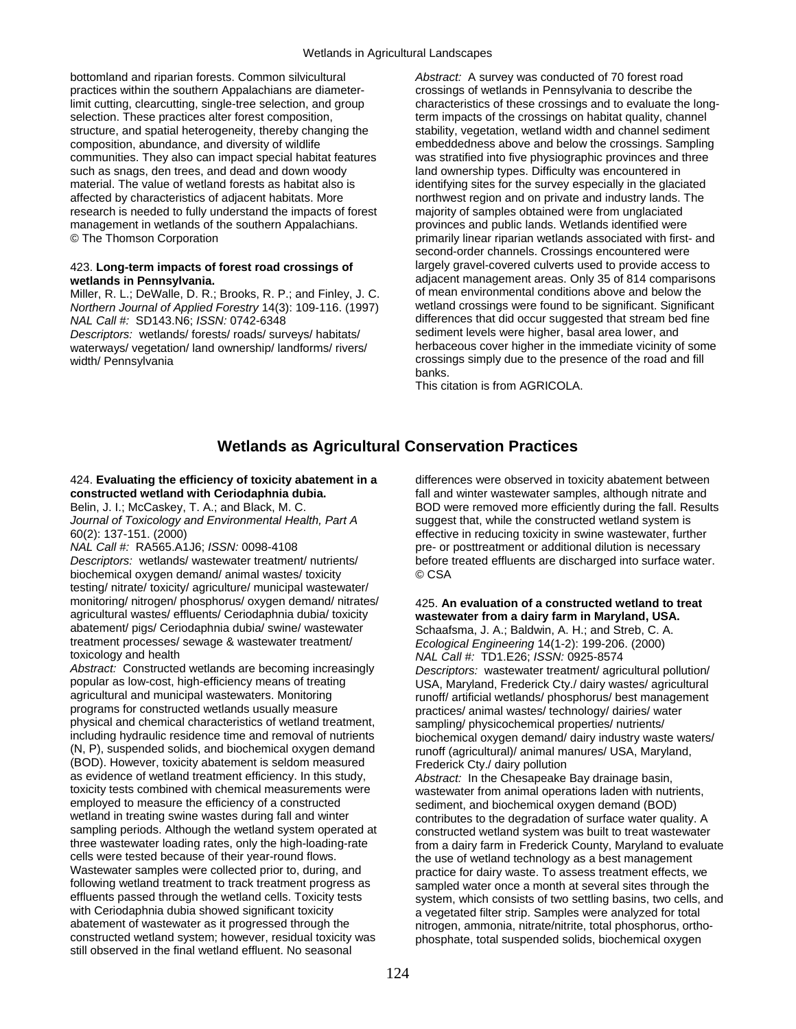bottomland and riparian forests. Common silvicultural practices within the southern Appalachians are diameterlimit cutting, clearcutting, single-tree selection, and group selection. These practices alter forest composition, structure, and spatial heterogeneity, thereby changing the composition, abundance, and diversity of wildlife communities. They also can impact special habitat features such as snags, den trees, and dead and down woody material. The value of wetland forests as habitat also is affected by characteristics of adjacent habitats. More research is needed to fully understand the impacts of forest management in wetlands of the southern Appalachians. © The Thomson Corporation

### 423. **Long-term impacts of forest road crossings of wetlands in Pennsylvania.**

Miller, R. L.; DeWalle, D. R.; Brooks, R. P.; and Finley, J. C. *Northern Journal of Applied Forestry* 14(3): 109-116. (1997) *NAL Call #:* SD143.N6; *ISSN:* 0742-6348

*Descriptors:* wetlands/ forests/ roads/ surveys/ habitats/ waterways/ vegetation/ land ownership/ landforms/ rivers/ width/ Pennsylvania

*Abstract:* A survey was conducted of 70 forest road crossings of wetlands in Pennsylvania to describe the characteristics of these crossings and to evaluate the longterm impacts of the crossings on habitat quality, channel stability, vegetation, wetland width and channel sediment embeddedness above and below the crossings. Sampling was stratified into five physiographic provinces and three land ownership types. Difficulty was encountered in identifying sites for the survey especially in the glaciated northwest region and on private and industry lands. The majority of samples obtained were from unglaciated provinces and public lands. Wetlands identified were primarily linear riparian wetlands associated with first- and second-order channels. Crossings encountered were largely gravel-covered culverts used to provide access to adjacent management areas. Only 35 of 814 comparisons of mean environmental conditions above and below the wetland crossings were found to be significant. Significant differences that did occur suggested that stream bed fine sediment levels were higher, basal area lower, and herbaceous cover higher in the immediate vicinity of some crossings simply due to the presence of the road and fill banks.

This citation is from AGRICOLA.

# **Wetlands as Agricultural Conservation Practices**

# 424. **Evaluating the efficiency of toxicity abatement in a constructed wetland with Ceriodaphnia dubia.**

Belin, J. I.; McCaskey, T. A.; and Black, M. C. *Journal of Toxicology and Environmental Health, Part A* 60(2): 137-151. (2000)

*NAL Call #:* RA565.A1J6; *ISSN:* 0098-4108 *Descriptors:* wetlands/ wastewater treatment/ nutrients/

biochemical oxygen demand/ animal wastes/ toxicity testing/ nitrate/ toxicity/ agriculture/ municipal wastewater/ monitoring/ nitrogen/ phosphorus/ oxygen demand/ nitrates/ agricultural wastes/ effluents/ Ceriodaphnia dubia/ toxicity abatement/ pigs/ Ceriodaphnia dubia/ swine/ wastewater treatment processes/ sewage & wastewater treatment/ toxicology and health

*Abstract:* Constructed wetlands are becoming increasingly popular as low-cost, high-efficiency means of treating agricultural and municipal wastewaters. Monitoring programs for constructed wetlands usually measure physical and chemical characteristics of wetland treatment, including hydraulic residence time and removal of nutrients (N, P), suspended solids, and biochemical oxygen demand (BOD). However, toxicity abatement is seldom measured as evidence of wetland treatment efficiency. In this study, toxicity tests combined with chemical measurements were employed to measure the efficiency of a constructed wetland in treating swine wastes during fall and winter sampling periods. Although the wetland system operated at three wastewater loading rates, only the high-loading-rate cells were tested because of their year-round flows. Wastewater samples were collected prior to, during, and following wetland treatment to track treatment progress as effluents passed through the wetland cells. Toxicity tests with Ceriodaphnia dubia showed significant toxicity abatement of wastewater as it progressed through the constructed wetland system; however, residual toxicity was still observed in the final wetland effluent. No seasonal

differences were observed in toxicity abatement between fall and winter wastewater samples, although nitrate and BOD were removed more efficiently during the fall. Results suggest that, while the constructed wetland system is effective in reducing toxicity in swine wastewater, further pre- or posttreatment or additional dilution is necessary before treated effluents are discharged into surface water. © CSA

425. **An evaluation of a constructed wetland to treat wastewater from a dairy farm in Maryland, USA.**  Schaafsma, J. A.; Baldwin, A. H.; and Streb, C. A. *Ecological Engineering* 14(1-2): 199-206. (2000) *NAL Call #:* TD1.E26; *ISSN:* 0925-8574 *Descriptors:* wastewater treatment/ agricultural pollution/ USA, Maryland, Frederick Cty./ dairy wastes/ agricultural runoff/ artificial wetlands/ phosphorus/ best management practices/ animal wastes/ technology/ dairies/ water sampling/ physicochemical properties/ nutrients/ biochemical oxygen demand/ dairy industry waste waters/ runoff (agricultural)/ animal manures/ USA, Maryland, Frederick Cty./ dairy pollution

*Abstract:* In the Chesapeake Bay drainage basin, wastewater from animal operations laden with nutrients, sediment, and biochemical oxygen demand (BOD) contributes to the degradation of surface water quality. A constructed wetland system was built to treat wastewater from a dairy farm in Frederick County, Maryland to evaluate the use of wetland technology as a best management practice for dairy waste. To assess treatment effects, we sampled water once a month at several sites through the system, which consists of two settling basins, two cells, and a vegetated filter strip. Samples were analyzed for total nitrogen, ammonia, nitrate/nitrite, total phosphorus, orthophosphate, total suspended solids, biochemical oxygen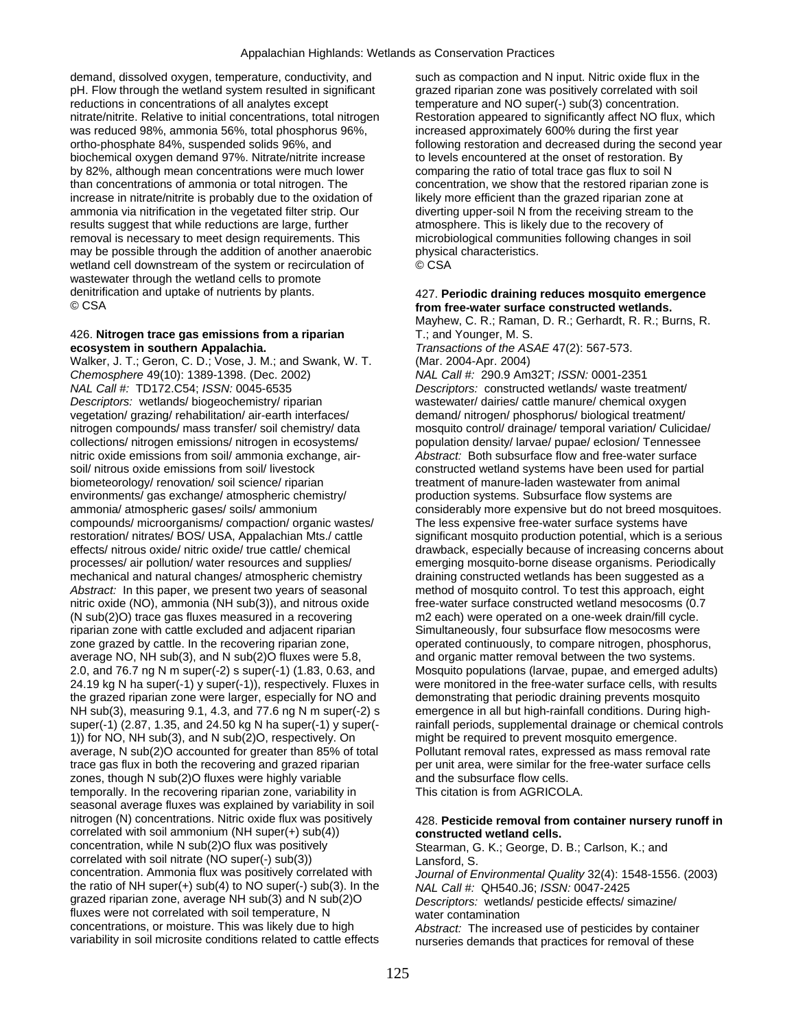demand, dissolved oxygen, temperature, conductivity, and pH. Flow through the wetland system resulted in significant reductions in concentrations of all analytes except nitrate/nitrite. Relative to initial concentrations, total nitrogen was reduced 98%, ammonia 56%, total phosphorus 96%, ortho-phosphate 84%, suspended solids 96%, and biochemical oxygen demand 97%. Nitrate/nitrite increase by 82%, although mean concentrations were much lower than concentrations of ammonia or total nitrogen. The increase in nitrate/nitrite is probably due to the oxidation of ammonia via nitrification in the vegetated filter strip. Our results suggest that while reductions are large, further removal is necessary to meet design requirements. This may be possible through the addition of another anaerobic wetland cell downstream of the system or recirculation of wastewater through the wetland cells to promote denitrification and uptake of nutrients by plants. © CSA

#### 426. **Nitrogen trace gas emissions from a riparian ecosystem in southern Appalachia.**

Walker, J. T.; Geron, C. D.; Vose, J. M.; and Swank, W. T. *Chemosphere* 49(10): 1389-1398. (Dec. 2002) *NAL Call #:* TD172.C54; *ISSN:* 0045-6535 *Descriptors:* wetlands/ biogeochemistry/ riparian vegetation/ grazing/ rehabilitation/ air-earth interfaces/ nitrogen compounds/ mass transfer/ soil chemistry/ data collections/ nitrogen emissions/ nitrogen in ecosystems/ nitric oxide emissions from soil/ ammonia exchange, airsoil/ nitrous oxide emissions from soil/ livestock biometeorology/ renovation/ soil science/ riparian environments/ gas exchange/ atmospheric chemistry/ ammonia/ atmospheric gases/ soils/ ammonium compounds/ microorganisms/ compaction/ organic wastes/ restoration/ nitrates/ BOS/ USA, Appalachian Mts./ cattle effects/ nitrous oxide/ nitric oxide/ true cattle/ chemical processes/ air pollution/ water resources and supplies/ mechanical and natural changes/ atmospheric chemistry *Abstract:* In this paper, we present two years of seasonal nitric oxide (NO), ammonia (NH sub(3)), and nitrous oxide (N sub(2)O) trace gas fluxes measured in a recovering riparian zone with cattle excluded and adjacent riparian zone grazed by cattle. In the recovering riparian zone, average NO, NH sub(3), and N sub(2)O fluxes were 5.8, 2.0, and 76.7 ng N m super(-2) s super(-1) (1.83, 0.63, and 24.19 kg N ha super(-1) y super(-1)), respectively. Fluxes in the grazed riparian zone were larger, especially for NO and NH sub(3), measuring 9.1, 4.3, and 77.6 ng N m super(-2) s super(-1) (2.87, 1.35, and 24.50 kg N ha super(-1) y super(- 1)) for NO, NH sub(3), and N sub(2)O, respectively. On average, N sub(2)O accounted for greater than 85% of total trace gas flux in both the recovering and grazed riparian zones, though N sub(2)O fluxes were highly variable temporally. In the recovering riparian zone, variability in seasonal average fluxes was explained by variability in soil nitrogen (N) concentrations. Nitric oxide flux was positively correlated with soil ammonium (NH super(+) sub(4)) concentration, while N sub(2)O flux was positively correlated with soil nitrate (NO super(-) sub(3)) concentration. Ammonia flux was positively correlated with the ratio of NH super(+) sub(4) to NO super(-) sub(3). In the grazed riparian zone, average NH sub(3) and N sub(2)O fluxes were not correlated with soil temperature, N concentrations, or moisture. This was likely due to high variability in soil microsite conditions related to cattle effects

such as compaction and N input. Nitric oxide flux in the grazed riparian zone was positively correlated with soil temperature and NO super(-) sub(3) concentration. Restoration appeared to significantly affect NO flux, which increased approximately 600% during the first year following restoration and decreased during the second year to levels encountered at the onset of restoration. By comparing the ratio of total trace gas flux to soil N concentration, we show that the restored riparian zone is likely more efficient than the grazed riparian zone at diverting upper-soil N from the receiving stream to the atmosphere. This is likely due to the recovery of microbiological communities following changes in soil physical characteristics. © CSA

# 427. **Periodic draining reduces mosquito emergence from free-water surface constructed wetlands.**

Mayhew, C. R.; Raman, D. R.; Gerhardt, R. R.; Burns, R. T.; and Younger, M. S.

*Transactions of the ASAE* 47(2): 567-573. (Mar. 2004-Apr. 2004)

*NAL Call #:* 290.9 Am32T; *ISSN:* 0001-2351 *Descriptors:* constructed wetlands/ waste treatment/ wastewater/ dairies/ cattle manure/ chemical oxygen demand/ nitrogen/ phosphorus/ biological treatment/ mosquito control/ drainage/ temporal variation/ Culicidae/ population density/ larvae/ pupae/ eclosion/ Tennessee *Abstract:* Both subsurface flow and free-water surface constructed wetland systems have been used for partial treatment of manure-laden wastewater from animal production systems. Subsurface flow systems are considerably more expensive but do not breed mosquitoes. The less expensive free-water surface systems have significant mosquito production potential, which is a serious drawback, especially because of increasing concerns about emerging mosquito-borne disease organisms. Periodically draining constructed wetlands has been suggested as a method of mosquito control. To test this approach, eight free-water surface constructed wetland mesocosms (0.7 m2 each) were operated on a one-week drain/fill cycle. Simultaneously, four subsurface flow mesocosms were operated continuously, to compare nitrogen, phosphorus, and organic matter removal between the two systems. Mosquito populations (larvae, pupae, and emerged adults) were monitored in the free-water surface cells, with results demonstrating that periodic draining prevents mosquito emergence in all but high-rainfall conditions. During highrainfall periods, supplemental drainage or chemical controls might be required to prevent mosquito emergence. Pollutant removal rates, expressed as mass removal rate per unit area, were similar for the free-water surface cells and the subsurface flow cells. This citation is from AGRICOLA.

### 428. **Pesticide removal from container nursery runoff in constructed wetland cells.**

Stearman, G. K.; George, D. B.; Carlson, K.; and Lansford, S.

*Journal of Environmental Quality* 32(4): 1548-1556. (2003) *NAL Call #:* QH540.J6; *ISSN:* 0047-2425 *Descriptors:* wetlands/ pesticide effects/ simazine/ water contamination *Abstract:* The increased use of pesticides by container nurseries demands that practices for removal of these